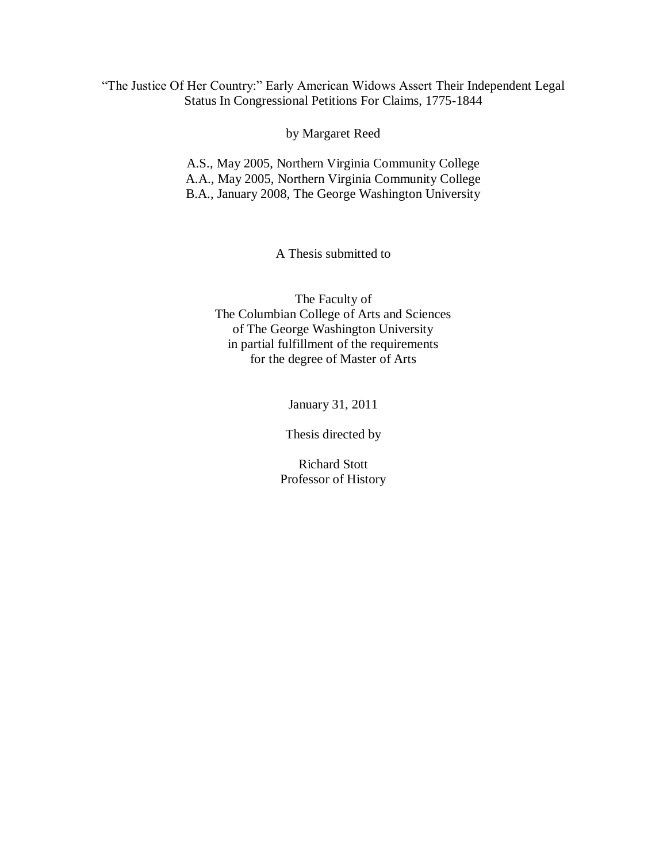## "The Justice Of Her Country:" Early American Widows Assert Their Independent Legal Status In Congressional Petitions For Claims, 1775-1844

by Margaret Reed

A.S., May 2005, Northern Virginia Community College A.A., May 2005, Northern Virginia Community College B.A., January 2008, The George Washington University

A Thesis submitted to

The Faculty of The Columbian College of Arts and Sciences of The George Washington University in partial fulfillment of the requirements for the degree of Master of Arts

January 31, 2011

Thesis directed by

Richard Stott Professor of History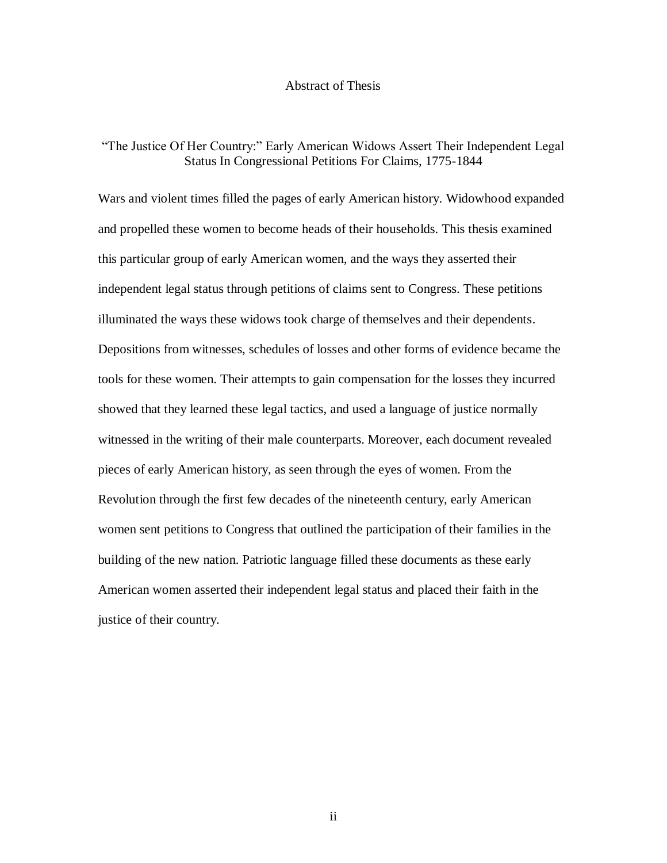#### Abstract of Thesis

## "The Justice Of Her Country:" Early American Widows Assert Their Independent Legal Status In Congressional Petitions For Claims, 1775-1844

Wars and violent times filled the pages of early American history. Widowhood expanded and propelled these women to become heads of their households. This thesis examined this particular group of early American women, and the ways they asserted their independent legal status through petitions of claims sent to Congress. These petitions illuminated the ways these widows took charge of themselves and their dependents. Depositions from witnesses, schedules of losses and other forms of evidence became the tools for these women. Their attempts to gain compensation for the losses they incurred showed that they learned these legal tactics, and used a language of justice normally witnessed in the writing of their male counterparts. Moreover, each document revealed pieces of early American history, as seen through the eyes of women. From the Revolution through the first few decades of the nineteenth century, early American women sent petitions to Congress that outlined the participation of their families in the building of the new nation. Patriotic language filled these documents as these early American women asserted their independent legal status and placed their faith in the justice of their country.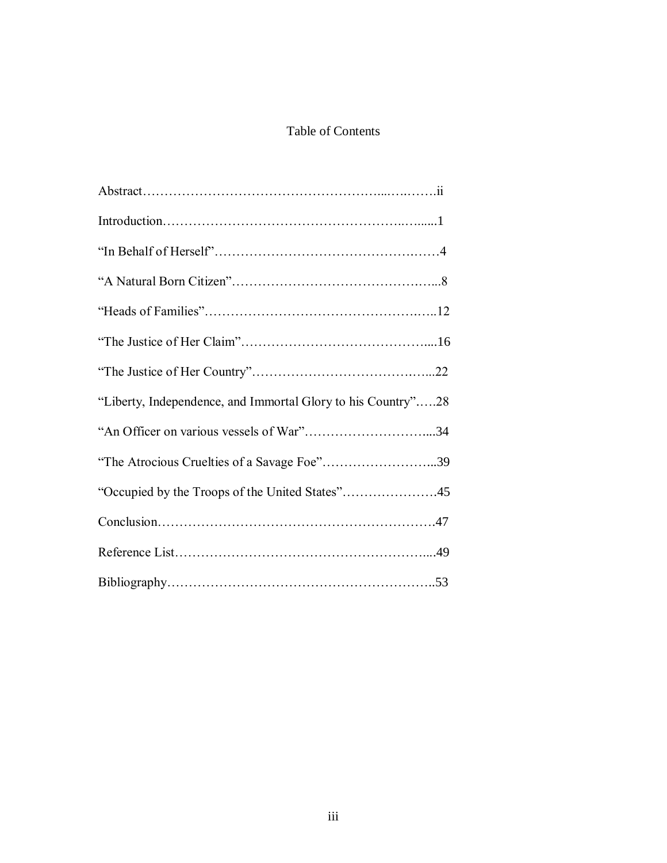# Table of Contents

| "Liberty, Independence, and Immortal Glory to his Country"28 |  |
|--------------------------------------------------------------|--|
|                                                              |  |
| "The Atrocious Cruelties of a Savage Foe"39                  |  |
| "Occupied by the Troops of the United States"45              |  |
|                                                              |  |
|                                                              |  |
|                                                              |  |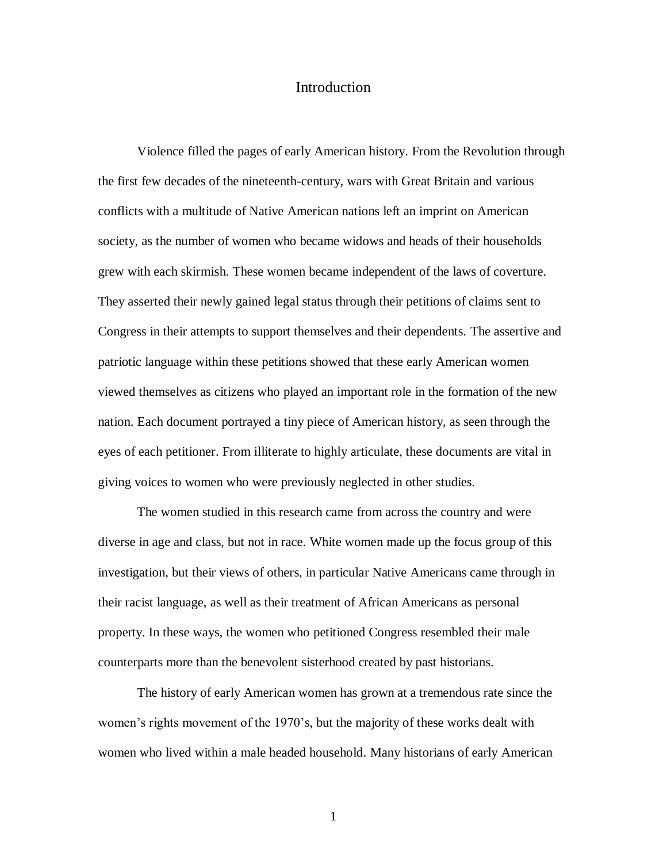## Introduction

Violence filled the pages of early American history. From the Revolution through the first few decades of the nineteenth-century, wars with Great Britain and various conflicts with a multitude of Native American nations left an imprint on American society, as the number of women who became widows and heads of their households grew with each skirmish. These women became independent of the laws of coverture. They asserted their newly gained legal status through their petitions of claims sent to Congress in their attempts to support themselves and their dependents. The assertive and patriotic language within these petitions showed that these early American women viewed themselves as citizens who played an important role in the formation of the new nation. Each document portrayed a tiny piece of American history, as seen through the eyes of each petitioner. From illiterate to highly articulate, these documents are vital in giving voices to women who were previously neglected in other studies.

The women studied in this research came from across the country and were diverse in age and class, but not in race. White women made up the focus group of this investigation, but their views of others, in particular Native Americans came through in their racist language, as well as their treatment of African Americans as personal property. In these ways, the women who petitioned Congress resembled their male counterparts more than the benevolent sisterhood created by past historians.

The history of early American women has grown at a tremendous rate since the women's rights movement of the 1970's, but the majority of these works dealt with women who lived within a male headed household. Many historians of early American

1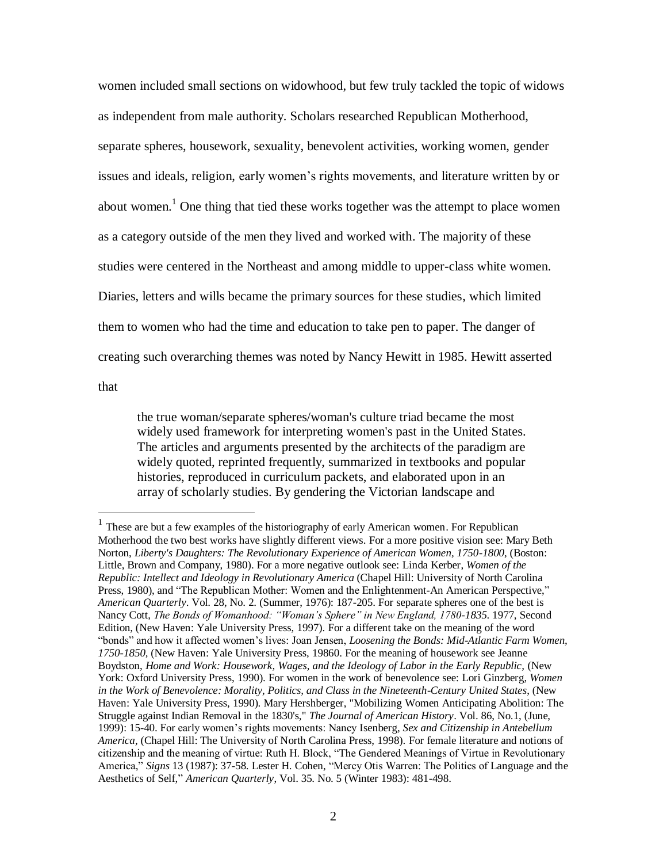women included small sections on widowhood, but few truly tackled the topic of widows as independent from male authority. Scholars researched Republican Motherhood, separate spheres, housework, sexuality, benevolent activities, working women, gender issues and ideals, religion, early women's rights movements, and literature written by or about women.<sup>1</sup> One thing that tied these works together was the attempt to place women as a category outside of the men they lived and worked with. The majority of these studies were centered in the Northeast and among middle to upper-class white women. Diaries, letters and wills became the primary sources for these studies, which limited them to women who had the time and education to take pen to paper. The danger of creating such overarching themes was noted by Nancy Hewitt in 1985. Hewitt asserted

that

 $\overline{a}$ 

the true woman/separate spheres/woman's culture triad became the most widely used framework for interpreting women's past in the United States. The articles and arguments presented by the architects of the paradigm are widely quoted, reprinted frequently, summarized in textbooks and popular histories, reproduced in curriculum packets, and elaborated upon in an array of scholarly studies. By gendering the Victorian landscape and

 $<sup>1</sup>$  These are but a few examples of the historiography of early American women. For Republican</sup> Motherhood the two best works have slightly different views. For a more positive vision see: Mary Beth Norton, *Liberty's Daughters: The Revolutionary Experience of American Women, 1750-1800*, (Boston: Little, Brown and Company, 1980). For a more negative outlook see: Linda Kerber, *Women of the Republic: Intellect and Ideology in Revolutionary America* (Chapel Hill: University of North Carolina Press, 1980), and "The Republican Mother: Women and the Enlightenment-An American Perspective," *American Quarterly*. Vol. 28, No. 2. (Summer, 1976): 187-205. For separate spheres one of the best is Nancy Cott, *The Bonds of Womanhood: "Woman's Sphere" in New England, 1780-1835*. 1977, Second Edition, (New Haven: Yale University Press, 1997). For a different take on the meaning of the word "bonds" and how it affected women"s lives: Joan Jensen, *Loosening the Bonds: Mid-Atlantic Farm Women, 1750-1850,* (New Haven: Yale University Press, 19860. For the meaning of housework see Jeanne Boydston, *Home and Work: Housework, Wages, and the Ideology of Labor in the Early Republic,* (New York: Oxford University Press, 1990). For women in the work of benevolence see: Lori Ginzberg, *Women in the Work of Benevolence: Morality, Politics, and Class in the Nineteenth-Century United States*, (New Haven: Yale University Press, 1990). Mary Hershberger, "Mobilizing Women Anticipating Abolition: The Struggle against Indian Removal in the 1830's," *The Journal of American History*. Vol. 86, No.1, (June, 1999): 15-40. For early women"s rights movements: Nancy Isenberg, *Sex and Citizenship in Antebellum America,* (Chapel Hill: The University of North Carolina Press, 1998). For female literature and notions of citizenship and the meaning of virtue: Ruth H. Block, "The Gendered Meanings of Virtue in Revolutionary America," *Signs* 13 (1987): 37-58. Lester H. Cohen, "Mercy Otis Warren: The Politics of Language and the Aesthetics of Self," *American Quarterly*, Vol. 35. No. 5 (Winter 1983): 481-498.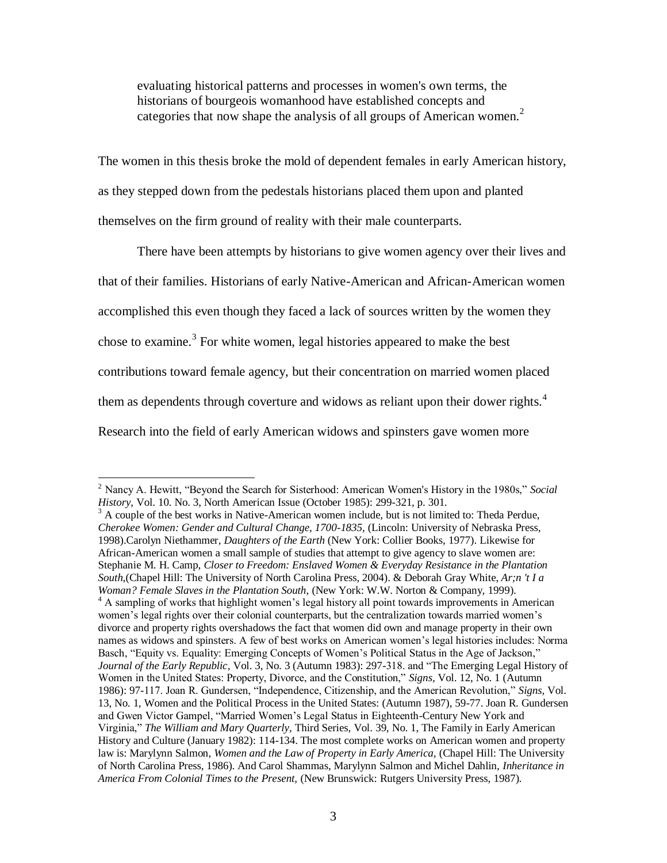evaluating historical patterns and processes in women's own terms, the historians of bourgeois womanhood have established concepts and categories that now shape the analysis of all groups of American women.<sup>2</sup>

The women in this thesis broke the mold of dependent females in early American history, as they stepped down from the pedestals historians placed them upon and planted themselves on the firm ground of reality with their male counterparts.

There have been attempts by historians to give women agency over their lives and that of their families. Historians of early Native-American and African-American women accomplished this even though they faced a lack of sources written by the women they chose to examine.<sup>3</sup> For white women, legal histories appeared to make the best contributions toward female agency, but their concentration on married women placed them as dependents through coverture and widows as reliant upon their dower rights.<sup>4</sup> Research into the field of early American widows and spinsters gave women more

<sup>2</sup> Nancy A. Hewitt, "Beyond the Search for Sisterhood: American Women's History in the 1980s," *Social History*, Vol. 10. No. 3, North American Issue (October 1985): 299-321, p. 301.

 $3$  A couple of the best works in Native-American women include, but is not limited to: Theda Perdue, *Cherokee Women: Gender and Cultural Change, 1700-1835,* (Lincoln: University of Nebraska Press, 1998).Carolyn Niethammer, *Daughters of the Earth* (New York: Collier Books, 1977). Likewise for African-American women a small sample of studies that attempt to give agency to slave women are: Stephanie M. H. Camp, *Closer to Freedom: Enslaved Women & Everyday Resistance in the Plantation South,*(Chapel Hill: The University of North Carolina Press, 2004). & Deborah Gray White, *Ar;n 't I a Woman? Female Slaves in the Plantation South*, (New York: W.W. Norton & Company, 1999). <sup>4</sup> A sampling of works that highlight women's legal history all point towards improvements in American women's legal rights over their colonial counterparts, but the centralization towards married women's divorce and property rights overshadows the fact that women did own and manage property in their own names as widows and spinsters. A few of best works on American women"s legal histories includes: Norma Basch, "Equity vs. Equality: Emerging Concepts of Women"s Political Status in the Age of Jackson," *Journal of the Early Republic,* Vol. 3, No. 3 (Autumn 1983): 297-318. and "The Emerging Legal History of Women in the United States: Property, Divorce, and the Constitution," *Signs,* Vol. 12, No. 1 (Autumn 1986): 97-117. Joan R. Gundersen, "Independence, Citizenship, and the American Revolution," *Signs,* Vol. 13, No. 1, Women and the Political Process in the United States: (Autumn 1987), 59-77. Joan R. Gundersen and Gwen Victor Gampel, "Married Women"s Legal Status in Eighteenth-Century New York and Virginia," *The William and Mary Quarterly,* Third Series, Vol. 39, No. 1, The Family in Early American History and Culture (January 1982): 114-134. The most complete works on American women and property law is: Marylynn Salmon, *Women and the Law of Property in Early America,* (Chapel Hill: The University of North Carolina Press, 1986). And Carol Shammas, Marylynn Salmon and Michel Dahlin, *Inheritance in America From Colonial Times to the Present,* (New Brunswick: Rutgers University Press, 1987).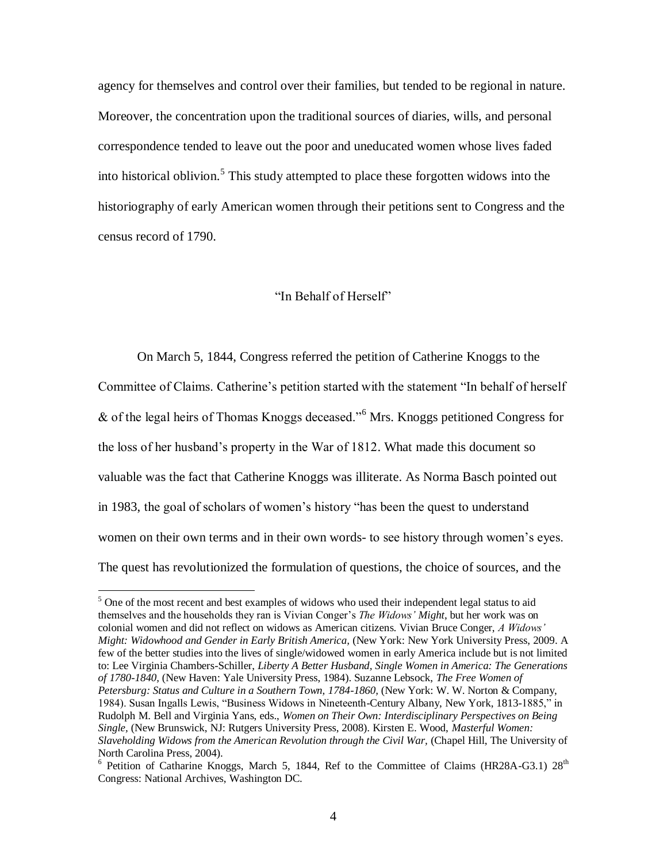agency for themselves and control over their families, but tended to be regional in nature. Moreover, the concentration upon the traditional sources of diaries, wills, and personal correspondence tended to leave out the poor and uneducated women whose lives faded into historical oblivion. 5 This study attempted to place these forgotten widows into the historiography of early American women through their petitions sent to Congress and the census record of 1790.

### "In Behalf of Herself"

On March 5, 1844, Congress referred the petition of Catherine Knoggs to the Committee of Claims. Catherine"s petition started with the statement "In behalf of herself & of the legal heirs of Thomas Knoggs deceased."<sup>6</sup> Mrs. Knoggs petitioned Congress for the loss of her husband"s property in the War of 1812. What made this document so valuable was the fact that Catherine Knoggs was illiterate. As Norma Basch pointed out in 1983, the goal of scholars of women"s history "has been the quest to understand women on their own terms and in their own words- to see history through women"s eyes. The quest has revolutionized the formulation of questions, the choice of sources, and the

 $<sup>5</sup>$  One of the most recent and best examples of widows who used their independent legal status to aid</sup> themselves and the households they ran is Vivian Conger"s *The Widows' Might*, but her work was on colonial women and did not reflect on widows as American citizens. Vivian Bruce Conger, *A Widows' Might: Widowhood and Gender in Early British America,* (New York: New York University Press, 2009. A few of the better studies into the lives of single/widowed women in early America include but is not limited to: Lee Virginia Chambers-Schiller, *Liberty A Better Husband, Single Women in America: The Generations of 1780-1840,* (New Haven: Yale University Press, 1984). Suzanne Lebsock, *The Free Women of*  Petersburg: Status and Culture in a Southern Town, 1784-1860, (New York: W. W. Norton & Company, 1984). Susan Ingalls Lewis, "Business Widows in Nineteenth-Century Albany, New York, 1813-1885," in Rudolph M. Bell and Virginia Yans, eds., *Women on Their Own: Interdisciplinary Perspectives on Being Single,* (New Brunswick, NJ: Rutgers University Press, 2008). Kirsten E. Wood, *Masterful Women: Slaveholding Widows from the American Revolution through the Civil War,* (Chapel Hill, The University of North Carolina Press, 2004).

<sup>&</sup>lt;sup>6</sup> Petition of Catharine Knoggs, March 5, 1844, Ref to the Committee of Claims (HR28A-G3.1) 28<sup>th</sup> Congress: National Archives, Washington DC.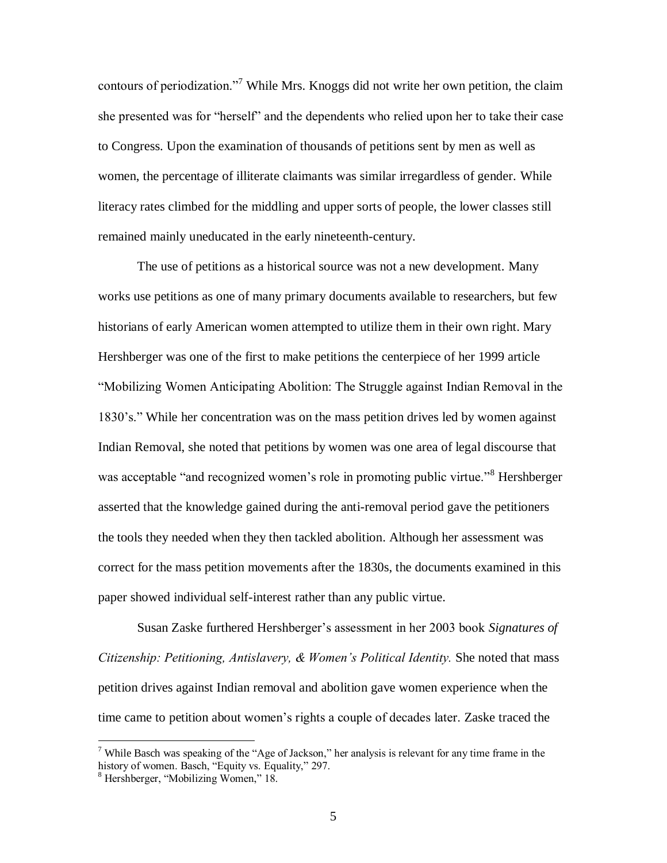contours of periodization."<sup>7</sup> While Mrs. Knoggs did not write her own petition, the claim she presented was for "herself" and the dependents who relied upon her to take their case to Congress. Upon the examination of thousands of petitions sent by men as well as women, the percentage of illiterate claimants was similar irregardless of gender. While literacy rates climbed for the middling and upper sorts of people, the lower classes still remained mainly uneducated in the early nineteenth-century.

The use of petitions as a historical source was not a new development. Many works use petitions as one of many primary documents available to researchers, but few historians of early American women attempted to utilize them in their own right. Mary Hershberger was one of the first to make petitions the centerpiece of her 1999 article "Mobilizing Women Anticipating Abolition: The Struggle against Indian Removal in the 1830"s." While her concentration was on the mass petition drives led by women against Indian Removal, she noted that petitions by women was one area of legal discourse that was acceptable "and recognized women's role in promoting public virtue."<sup>8</sup> Hershberger asserted that the knowledge gained during the anti-removal period gave the petitioners the tools they needed when they then tackled abolition. Although her assessment was correct for the mass petition movements after the 1830s, the documents examined in this paper showed individual self-interest rather than any public virtue.

Susan Zaske furthered Hershberger"s assessment in her 2003 book *Signatures of Citizenship: Petitioning, Antislavery, & Women's Political Identity.* She noted that mass petition drives against Indian removal and abolition gave women experience when the time came to petition about women"s rights a couple of decades later. Zaske traced the

<sup>&</sup>lt;sup>7</sup> While Basch was speaking of the "Age of Jackson," her analysis is relevant for any time frame in the history of women. Basch, "Equity vs. Equality," 297.

<sup>8</sup> Hershberger, "Mobilizing Women," 18.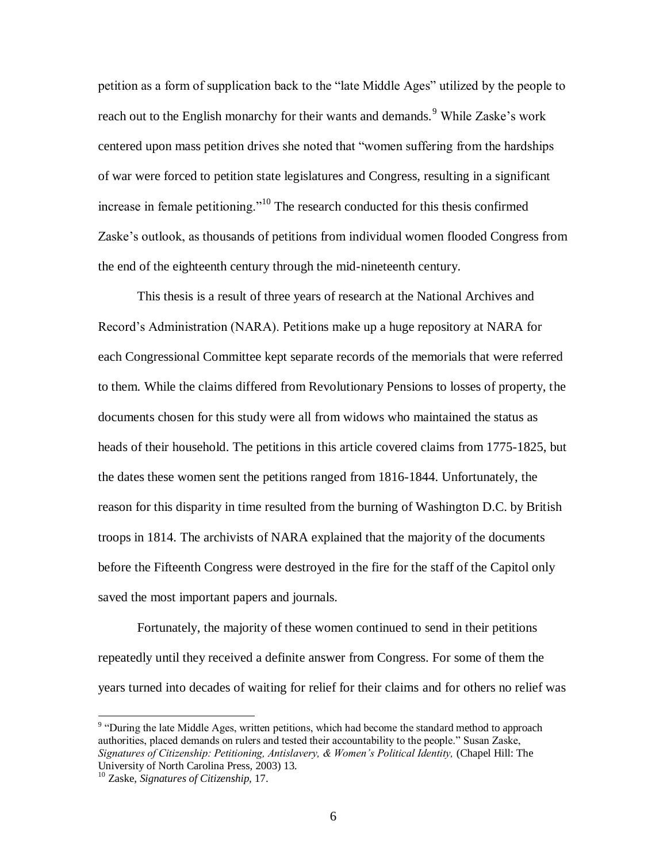petition as a form of supplication back to the "late Middle Ages" utilized by the people to reach out to the English monarchy for their wants and demands.<sup>9</sup> While Zaske's work centered upon mass petition drives she noted that "women suffering from the hardships of war were forced to petition state legislatures and Congress, resulting in a significant increase in female petitioning."<sup>10</sup> The research conducted for this thesis confirmed Zaske's outlook, as thousands of petitions from individual women flooded Congress from the end of the eighteenth century through the mid-nineteenth century.

This thesis is a result of three years of research at the National Archives and Record"s Administration (NARA). Petitions make up a huge repository at NARA for each Congressional Committee kept separate records of the memorials that were referred to them. While the claims differed from Revolutionary Pensions to losses of property, the documents chosen for this study were all from widows who maintained the status as heads of their household. The petitions in this article covered claims from 1775-1825, but the dates these women sent the petitions ranged from 1816-1844. Unfortunately, the reason for this disparity in time resulted from the burning of Washington D.C. by British troops in 1814. The archivists of NARA explained that the majority of the documents before the Fifteenth Congress were destroyed in the fire for the staff of the Capitol only saved the most important papers and journals.

Fortunately, the majority of these women continued to send in their petitions repeatedly until they received a definite answer from Congress. For some of them the years turned into decades of waiting for relief for their claims and for others no relief was

<sup>&</sup>lt;sup>9</sup> "During the late Middle Ages, written petitions, which had become the standard method to approach authorities, placed demands on rulers and tested their accountability to the people." Susan Zaske, *Signatures of Citizenship: Petitioning, Antislavery, & Women's Political Identity,* (Chapel Hill: The University of North Carolina Press, 2003) 13.

<sup>10</sup> Zaske, *Signatures of Citizenship,* 17.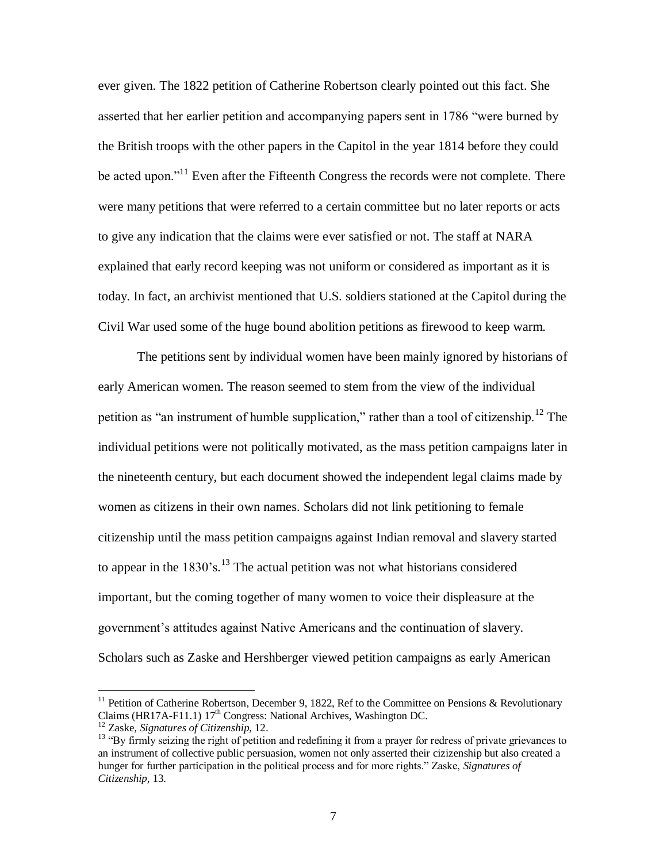ever given. The 1822 petition of Catherine Robertson clearly pointed out this fact. She asserted that her earlier petition and accompanying papers sent in 1786 "were burned by the British troops with the other papers in the Capitol in the year 1814 before they could be acted upon."<sup>11</sup> Even after the Fifteenth Congress the records were not complete. There were many petitions that were referred to a certain committee but no later reports or acts to give any indication that the claims were ever satisfied or not. The staff at NARA explained that early record keeping was not uniform or considered as important as it is today. In fact, an archivist mentioned that U.S. soldiers stationed at the Capitol during the Civil War used some of the huge bound abolition petitions as firewood to keep warm.

The petitions sent by individual women have been mainly ignored by historians of early American women. The reason seemed to stem from the view of the individual petition as "an instrument of humble supplication," rather than a tool of citizenship.<sup>12</sup> The individual petitions were not politically motivated, as the mass petition campaigns later in the nineteenth century, but each document showed the independent legal claims made by women as citizens in their own names. Scholars did not link petitioning to female citizenship until the mass petition campaigns against Indian removal and slavery started to appear in the 1830's.<sup>13</sup> The actual petition was not what historians considered important, but the coming together of many women to voice their displeasure at the government"s attitudes against Native Americans and the continuation of slavery. Scholars such as Zaske and Hershberger viewed petition campaigns as early American

<sup>&</sup>lt;sup>11</sup> Petition of Catherine Robertson, December 9, 1822, Ref to the Committee on Pensions & Revolutionary Claims (HR17A-F11.1)  $17<sup>th</sup>$  Congress: National Archives, Washington DC.

<sup>12</sup> Zaske, *Signatures of Citizenship,* 12.

<sup>&</sup>lt;sup>13</sup> "By firmly seizing the right of petition and redefining it from a prayer for redress of private grievances to an instrument of collective public persuasion, women not only asserted their cizizenship but also created a hunger for further participation in the political process and for more rights." Zaske, *Signatures of Citizenship,* 13.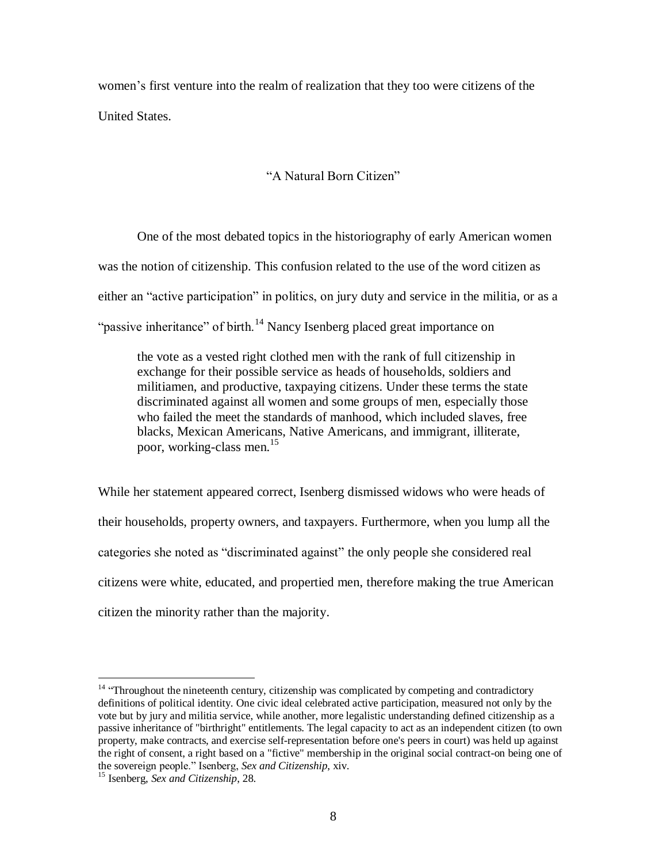women"s first venture into the realm of realization that they too were citizens of the United States.

# "A Natural Born Citizen"

One of the most debated topics in the historiography of early American women was the notion of citizenship. This confusion related to the use of the word citizen as either an "active participation" in politics, on jury duty and service in the militia, or as a "passive inheritance" of birth.<sup>14</sup> Nancy Isenberg placed great importance on

the vote as a vested right clothed men with the rank of full citizenship in exchange for their possible service as heads of households, soldiers and militiamen, and productive, taxpaying citizens. Under these terms the state discriminated against all women and some groups of men, especially those who failed the meet the standards of manhood, which included slaves, free blacks, Mexican Americans, Native Americans, and immigrant, illiterate, poor, working-class men.<sup>15</sup>

While her statement appeared correct, Isenberg dismissed widows who were heads of their households, property owners, and taxpayers. Furthermore, when you lump all the categories she noted as "discriminated against" the only people she considered real citizens were white, educated, and propertied men, therefore making the true American citizen the minority rather than the majority.

 $14$  "Throughout the nineteenth century, citizenship was complicated by competing and contradictory definitions of political identity. One civic ideal celebrated active participation, measured not only by the vote but by jury and militia service, while another, more legalistic understanding defined citizenship as a passive inheritance of "birthright" entitlements. The legal capacity to act as an independent citizen (to own property, make contracts, and exercise self-representation before one's peers in court) was held up against the right of consent, a right based on a "fictive" membership in the original social contract-on being one of the sovereign people." Isenberg, *Sex and Citizenship*, xiv.

<sup>15</sup> Isenberg, *Sex and Citizenship*, 28.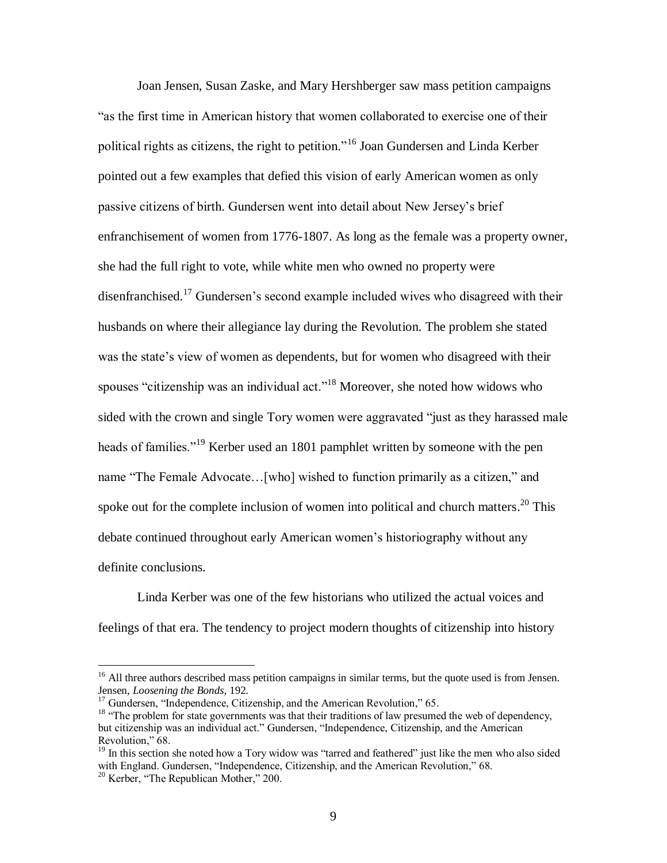Joan Jensen, Susan Zaske, and Mary Hershberger saw mass petition campaigns "as the first time in American history that women collaborated to exercise one of their political rights as citizens, the right to petition."<sup>16</sup> Joan Gundersen and Linda Kerber pointed out a few examples that defied this vision of early American women as only passive citizens of birth. Gundersen went into detail about New Jersey"s brief enfranchisement of women from 1776-1807. As long as the female was a property owner, she had the full right to vote, while white men who owned no property were disenfranchised.<sup>17</sup> Gundersen's second example included wives who disagreed with their husbands on where their allegiance lay during the Revolution. The problem she stated was the state's view of women as dependents, but for women who disagreed with their spouses "citizenship was an individual act."<sup>18</sup> Moreover, she noted how widows who sided with the crown and single Tory women were aggravated "just as they harassed male heads of families."<sup>19</sup> Kerber used an 1801 pamphlet written by someone with the pen name "The Female Advocate…[who] wished to function primarily as a citizen," and spoke out for the complete inclusion of women into political and church matters.<sup>20</sup> This debate continued throughout early American women"s historiography without any definite conclusions.

Linda Kerber was one of the few historians who utilized the actual voices and feelings of that era. The tendency to project modern thoughts of citizenship into history

<sup>&</sup>lt;sup>16</sup> All three authors described mass petition campaigns in similar terms, but the quote used is from Jensen. Jensen, *Loosening the Bonds,* 192.

<sup>&</sup>lt;sup>17</sup> Gundersen, "Independence, Citizenship, and the American Revolution," 65.

<sup>&</sup>lt;sup>18</sup> "The problem for state governments was that their traditions of law presumed the web of dependency, but citizenship was an individual act." Gundersen, "Independence, Citizenship, and the American Revolution," 68.

 $19$  In this section she noted how a Tory widow was "tarred and feathered" just like the men who also sided with England. Gundersen, "Independence, Citizenship, and the American Revolution." 68.

<sup>20</sup> Kerber, "The Republican Mother," 200.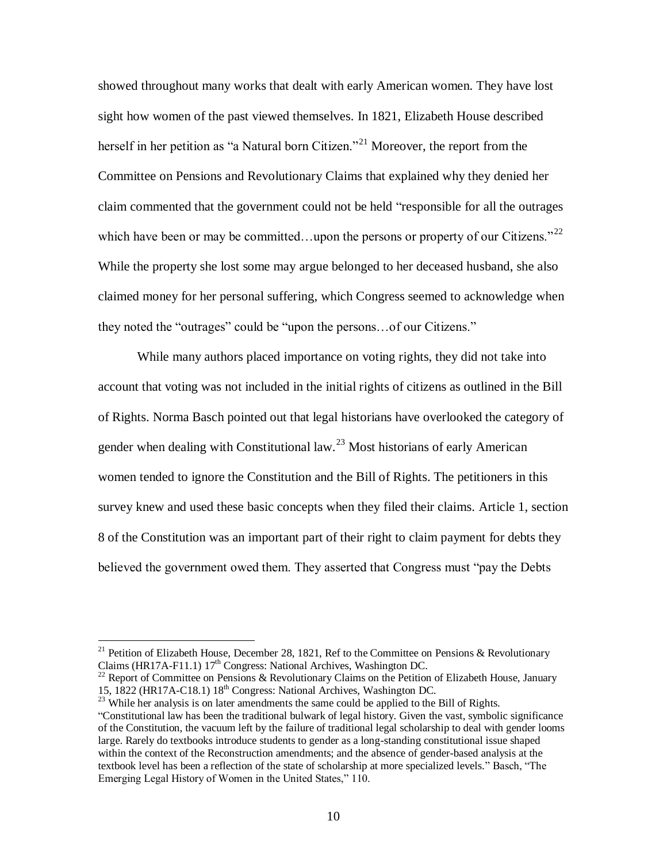showed throughout many works that dealt with early American women. They have lost sight how women of the past viewed themselves. In 1821, Elizabeth House described herself in her petition as "a Natural born Citizen."<sup>21</sup> Moreover, the report from the Committee on Pensions and Revolutionary Claims that explained why they denied her claim commented that the government could not be held "responsible for all the outrages which have been or may be committed...upon the persons or property of our Citizens."<sup>22</sup> While the property she lost some may argue belonged to her deceased husband, she also claimed money for her personal suffering, which Congress seemed to acknowledge when they noted the "outrages" could be "upon the persons…of our Citizens."

While many authors placed importance on voting rights, they did not take into account that voting was not included in the initial rights of citizens as outlined in the Bill of Rights. Norma Basch pointed out that legal historians have overlooked the category of gender when dealing with Constitutional law.<sup>23</sup> Most historians of early American women tended to ignore the Constitution and the Bill of Rights. The petitioners in this survey knew and used these basic concepts when they filed their claims. Article 1, section 8 of the Constitution was an important part of their right to claim payment for debts they believed the government owed them. They asserted that Congress must "pay the Debts

<sup>&</sup>lt;sup>21</sup> Petition of Elizabeth House, December 28, 1821, Ref to the Committee on Pensions & Revolutionary Claims (HR17A-F11.1) 17<sup>th</sup> Congress: National Archives, Washington DC.

<sup>&</sup>lt;sup>22</sup> Report of Committee on Pensions & Revolutionary Claims on the Petition of Elizabeth House, January 15, 1822 (HR17A-C18.1) 18th Congress: National Archives, Washington DC.

<sup>&</sup>lt;sup>23</sup> While her analysis is on later amendments the same could be applied to the Bill of Rights. "Constitutional law has been the traditional bulwark of legal history. Given the vast, symbolic significance of the Constitution, the vacuum left by the failure of traditional legal scholarship to deal with gender looms large. Rarely do textbooks introduce students to gender as a long-standing constitutional issue shaped within the context of the Reconstruction amendments; and the absence of gender-based analysis at the textbook level has been a reflection of the state of scholarship at more specialized levels." Basch, "The Emerging Legal History of Women in the United States," 110.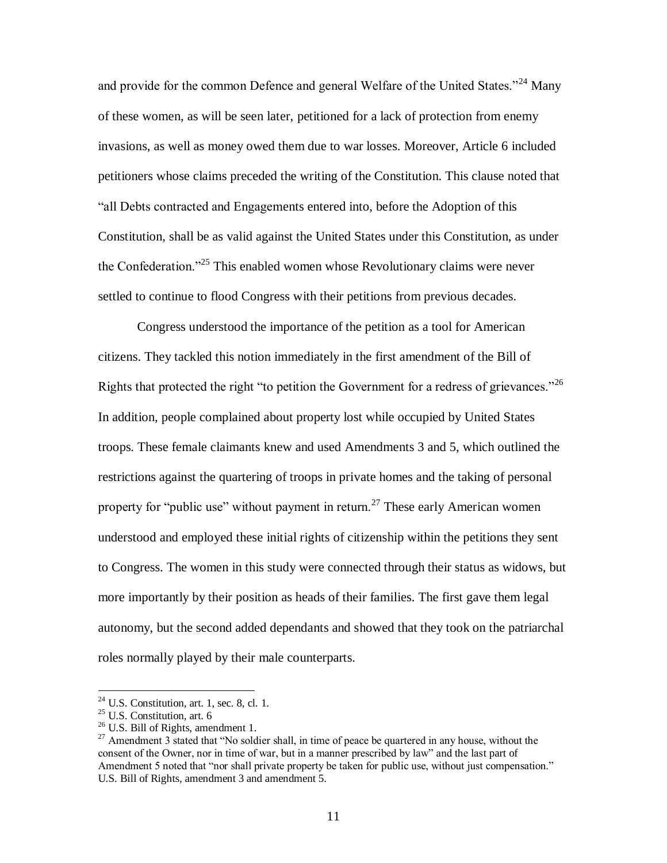and provide for the common Defence and general Welfare of the United States."<sup>24</sup> Many of these women, as will be seen later, petitioned for a lack of protection from enemy invasions, as well as money owed them due to war losses. Moreover, Article 6 included petitioners whose claims preceded the writing of the Constitution. This clause noted that "all Debts contracted and Engagements entered into, before the Adoption of this Constitution, shall be as valid against the United States under this Constitution, as under the Confederation."<sup>25</sup> This enabled women whose Revolutionary claims were never settled to continue to flood Congress with their petitions from previous decades.

Congress understood the importance of the petition as a tool for American citizens. They tackled this notion immediately in the first amendment of the Bill of Rights that protected the right "to petition the Government for a redress of grievances."<sup>26</sup> In addition, people complained about property lost while occupied by United States troops. These female claimants knew and used Amendments 3 and 5, which outlined the restrictions against the quartering of troops in private homes and the taking of personal property for "public use" without payment in return.<sup>27</sup> These early American women understood and employed these initial rights of citizenship within the petitions they sent to Congress. The women in this study were connected through their status as widows, but more importantly by their position as heads of their families. The first gave them legal autonomy, but the second added dependants and showed that they took on the patriarchal roles normally played by their male counterparts.

 $2<sup>24</sup>$  U.S. Constitution, art. 1, sec. 8, cl. 1.

 $25$  U.S. Constitution, art. 6

<sup>&</sup>lt;sup>26</sup> U.S. Bill of Rights, amendment 1.

<sup>&</sup>lt;sup>27</sup> Amendment 3 stated that "No soldier shall, in time of peace be quartered in any house, without the consent of the Owner, nor in time of war, but in a manner prescribed by law" and the last part of Amendment 5 noted that "nor shall private property be taken for public use, without just compensation." U.S. Bill of Rights, amendment 3 and amendment 5.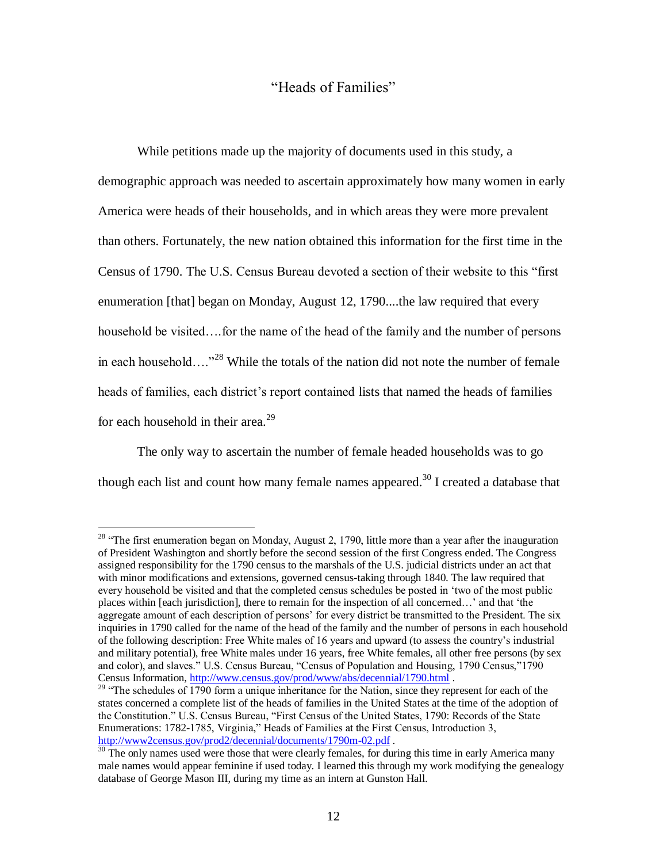## "Heads of Families"

While petitions made up the majority of documents used in this study, a demographic approach was needed to ascertain approximately how many women in early America were heads of their households, and in which areas they were more prevalent than others. Fortunately, the new nation obtained this information for the first time in the Census of 1790. The U.S. Census Bureau devoted a section of their website to this "first enumeration [that] began on Monday, August 12, 1790....the law required that every household be visited….for the name of the head of the family and the number of persons in each household…."<sup>28</sup> While the totals of the nation did not note the number of female heads of families, each district's report contained lists that named the heads of families for each household in their area.<sup>29</sup>

The only way to ascertain the number of female headed households was to go though each list and count how many female names appeared.<sup>30</sup> I created a database that

 $28$  "The first enumeration began on Monday, August 2, 1790, little more than a year after the inauguration of President Washington and shortly before the second session of the first Congress ended. The Congress assigned responsibility for the 1790 census to the marshals of the U.S. judicial districts under an act that with minor modifications and extensions, governed census-taking through 1840. The law required that every household be visited and that the completed census schedules be posted in "two of the most public places within [each jurisdiction], there to remain for the inspection of all concerned…" and that "the aggregate amount of each description of persons" for every district be transmitted to the President. The six inquiries in 1790 called for the name of the head of the family and the number of persons in each household of the following description: Free White males of 16 years and upward (to assess the country"s industrial and military potential), free White males under 16 years, free White females, all other free persons (by sex and color), and slaves." U.S. Census Bureau, "Census of Population and Housing, 1790 Census,"1790 Census Information,<http://www.census.gov/prod/www/abs/decennial/1790.html> .

<sup>&</sup>lt;sup>29</sup> "The schedules of 1790 form a unique inheritance for the Nation, since they represent for each of the states concerned a complete list of the heads of families in the United States at the time of the adoption of the Constitution." U.S. Census Bureau, "First Census of the United States, 1790: Records of the State Enumerations: 1782-1785, Virginia," Heads of Families at the First Census, Introduction 3, <http://www2census.gov/prod2/decennial/documents/1790m-02.pdf> .

 $30$  The only names used were those that were clearly females, for during this time in early America many male names would appear feminine if used today. I learned this through my work modifying the genealogy database of George Mason III, during my time as an intern at Gunston Hall.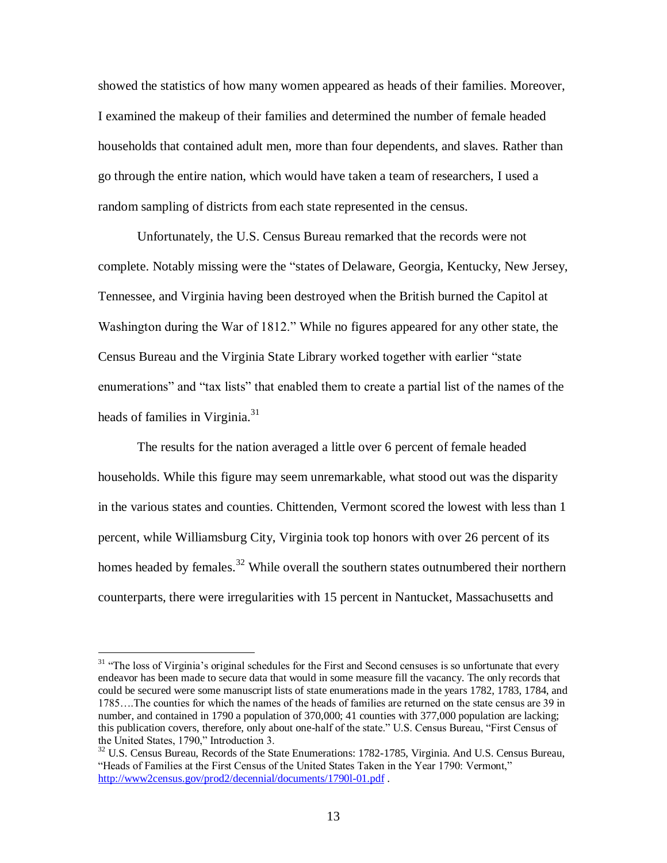showed the statistics of how many women appeared as heads of their families. Moreover, I examined the makeup of their families and determined the number of female headed households that contained adult men, more than four dependents, and slaves. Rather than go through the entire nation, which would have taken a team of researchers, I used a random sampling of districts from each state represented in the census.

Unfortunately, the U.S. Census Bureau remarked that the records were not complete. Notably missing were the "states of Delaware, Georgia, Kentucky, New Jersey, Tennessee, and Virginia having been destroyed when the British burned the Capitol at Washington during the War of 1812." While no figures appeared for any other state, the Census Bureau and the Virginia State Library worked together with earlier "state enumerations" and "tax lists" that enabled them to create a partial list of the names of the heads of families in Virginia.<sup>31</sup>

The results for the nation averaged a little over 6 percent of female headed households. While this figure may seem unremarkable, what stood out was the disparity in the various states and counties. Chittenden, Vermont scored the lowest with less than 1 percent, while Williamsburg City, Virginia took top honors with over 26 percent of its homes headed by females.<sup>32</sup> While overall the southern states outnumbered their northern counterparts, there were irregularities with 15 percent in Nantucket, Massachusetts and

<sup>&</sup>lt;sup>31</sup> "The loss of Virginia's original schedules for the First and Second censuses is so unfortunate that every endeavor has been made to secure data that would in some measure fill the vacancy. The only records that could be secured were some manuscript lists of state enumerations made in the years 1782, 1783, 1784, and 1785….The counties for which the names of the heads of families are returned on the state census are 39 in number, and contained in 1790 a population of 370,000; 41 counties with 377,000 population are lacking; this publication covers, therefore, only about one-half of the state." U.S. Census Bureau, "First Census of the United States, 1790," Introduction 3.

<sup>&</sup>lt;sup>32</sup> U.S. Census Bureau, Records of the State Enumerations: 1782-1785, Virginia. And U.S. Census Bureau, "Heads of Families at the First Census of the United States Taken in the Year 1790: Vermont," [http://www2census.gov/prod2/decennial/documents/1790l-01.pdf](http://www2census.gov/prod2/decennial/documents/1790m-02.pdf) .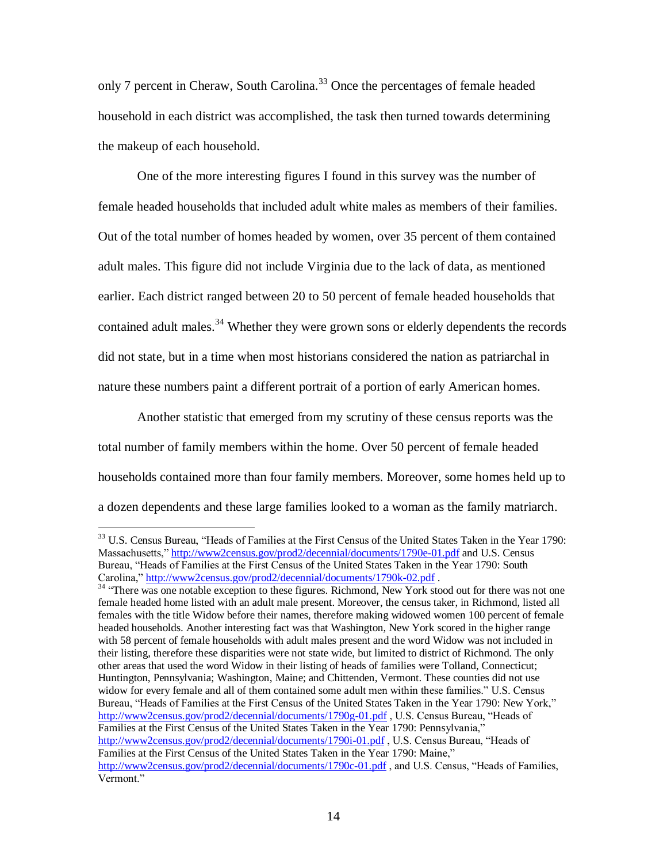only 7 percent in Cheraw, South Carolina.<sup>33</sup> Once the percentages of female headed household in each district was accomplished, the task then turned towards determining the makeup of each household.

One of the more interesting figures I found in this survey was the number of female headed households that included adult white males as members of their families. Out of the total number of homes headed by women, over 35 percent of them contained adult males. This figure did not include Virginia due to the lack of data, as mentioned earlier. Each district ranged between 20 to 50 percent of female headed households that contained adult males.<sup>34</sup> Whether they were grown sons or elderly dependents the records did not state, but in a time when most historians considered the nation as patriarchal in nature these numbers paint a different portrait of a portion of early American homes.

Another statistic that emerged from my scrutiny of these census reports was the total number of family members within the home. Over 50 percent of female headed households contained more than four family members. Moreover, some homes held up to a dozen dependents and these large families looked to a woman as the family matriarch.

<sup>&</sup>lt;sup>33</sup> U.S. Census Bureau, "Heads of Families at the First Census of the United States Taken in the Year 1790: Massachusetts," [http://www2census.gov/prod2/decennial/documents/1790e-01.pdf](http://www2census.gov/prod2/decennial/documents/1790m-02.pdf) and U.S. Census Bureau, "Heads of Families at the First Census of the United States Taken in the Year 1790: South Carolina,"<http://www2census.gov/prod2/decennial/documents/1790k-02.pdf> .

<sup>&</sup>lt;sup>34</sup> "There was one notable exception to these figures. Richmond, New York stood out for there was not one female headed home listed with an adult male present. Moreover, the census taker, in Richmond, listed all females with the title Widow before their names, therefore making widowed women 100 percent of female headed households. Another interesting fact was that Washington, New York scored in the higher range with 58 percent of female households with adult males present and the word Widow was not included in their listing, therefore these disparities were not state wide, but limited to district of Richmond. The only other areas that used the word Widow in their listing of heads of families were Tolland, Connecticut; Huntington, Pennsylvania; Washington, Maine; and Chittenden, Vermont. These counties did not use widow for every female and all of them contained some adult men within these families." U.S. Census Bureau, "Heads of Families at the First Census of the United States Taken in the Year 1790: New York," [http://www2census.gov/prod2/decennial/documents/1790g-01.pdf](http://www2census.gov/prod2/decennial/documents/1790m-02.pdf), U.S. Census Bureau, "Heads of Families at the First Census of the United States Taken in the Year 1790: Pennsylvania," [http://www2census.gov/prod2/decennial/documents/1790i-01.pdf](http://www2census.gov/prod2/decennial/documents/1790m-02.pdf) , U.S. Census Bureau, "Heads of Families at the First Census of the United States Taken in the Year 1790: Maine," [http://www2census.gov/prod2/decennial/documents/1790c-01.pdf](http://www2census.gov/prod2/decennial/documents/1790m-02.pdf), and U.S. Census, "Heads of Families, Vermont."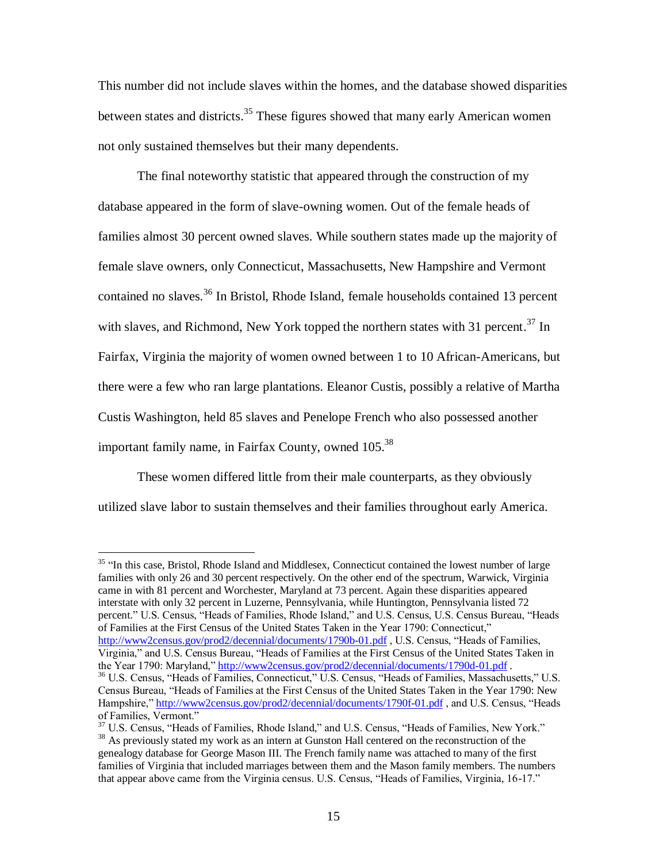This number did not include slaves within the homes, and the database showed disparities between states and districts.<sup>35</sup> These figures showed that many early American women not only sustained themselves but their many dependents.

The final noteworthy statistic that appeared through the construction of my database appeared in the form of slave-owning women. Out of the female heads of families almost 30 percent owned slaves. While southern states made up the majority of female slave owners, only Connecticut, Massachusetts, New Hampshire and Vermont contained no slaves.<sup>36</sup> In Bristol, Rhode Island, female households contained 13 percent with slaves, and Richmond, New York topped the northern states with 31 percent.<sup>37</sup> In Fairfax, Virginia the majority of women owned between 1 to 10 African-Americans, but there were a few who ran large plantations. Eleanor Custis, possibly a relative of Martha Custis Washington, held 85 slaves and Penelope French who also possessed another important family name, in Fairfax County, owned 105.<sup>38</sup>

These women differed little from their male counterparts, as they obviously utilized slave labor to sustain themselves and their families throughout early America.

 $\overline{a}$ 

<sup>35</sup> "In this case, Bristol, Rhode Island and Middlesex, Connecticut contained the lowest number of large families with only 26 and 30 percent respectively. On the other end of the spectrum, Warwick, Virginia came in with 81 percent and Worchester, Maryland at 73 percent. Again these disparities appeared interstate with only 32 percent in Luzerne, Pennsylvania, while Huntington, Pennsylvania listed 72 percent." U.S. Census, "Heads of Families, Rhode Island," and U.S. Census, U.S. Census Bureau, "Heads of Families at the First Census of the United States Taken in the Year 1790: Connecticut," [http://www2census.gov/prod2/decennial/documents/1790b-01.pdf](http://www2census.gov/prod2/decennial/documents/1790m-02.pdf), U.S. Census, "Heads of Families, Virginia," and U.S. Census Bureau, "Heads of Families at the First Census of the United States Taken in

the Year 1790: Maryland," [http://www2census.gov/prod2/decennial/documents/1790d-01.pdf](http://www2census.gov/prod2/decennial/documents/1790m-02.pdf). <sup>36</sup> U.S. Census, "Heads of Families, Connecticut," U.S. Census, "Heads of Families, Massachusetts," U.S. Census Bureau, "Heads of Families at the First Census of the United States Taken in the Year 1790: New Hampshire,[" http://www2census.gov/prod2/decennial/documents/1790f-01.pdf](http://www2census.gov/prod2/decennial/documents/1790m-02.pdf), and U.S. Census, "Heads of Families, Vermont."

<sup>37</sup> U.S. Census, "Heads of Families, Rhode Island," and U.S. Census, "Heads of Families, New York."

<sup>&</sup>lt;sup>38</sup> As previously stated my work as an intern at Gunston Hall centered on the reconstruction of the genealogy database for George Mason III. The French family name was attached to many of the first families of Virginia that included marriages between them and the Mason family members. The numbers that appear above came from the Virginia census. U.S. Census, "Heads of Families, Virginia, 16-17."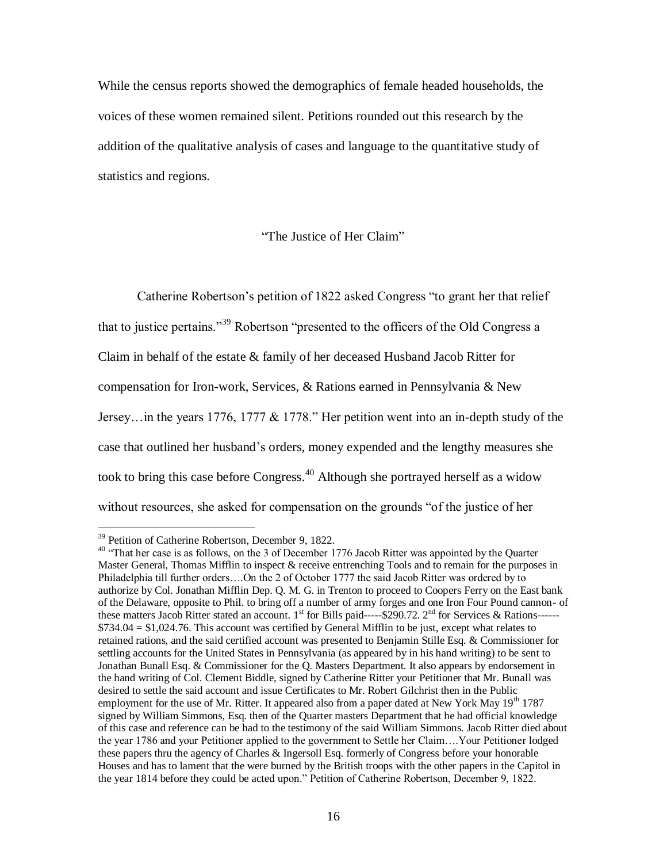While the census reports showed the demographics of female headed households, the voices of these women remained silent. Petitions rounded out this research by the addition of the qualitative analysis of cases and language to the quantitative study of statistics and regions.

"The Justice of Her Claim"

Catherine Robertson"s petition of 1822 asked Congress "to grant her that relief that to justice pertains.<sup>39</sup> Robertson "presented to the officers of the Old Congress a Claim in behalf of the estate & family of her deceased Husband Jacob Ritter for compensation for Iron-work, Services, & Rations earned in Pennsylvania & New Jersey…in the years 1776, 1777 & 1778." Her petition went into an in-depth study of the case that outlined her husband"s orders, money expended and the lengthy measures she took to bring this case before Congress. <sup>40</sup> Although she portrayed herself as a widow without resources, she asked for compensation on the grounds "of the justice of her

<sup>&</sup>lt;sup>39</sup> Petition of Catherine Robertson, December 9, 1822.

<sup>&</sup>lt;sup>40</sup> "That her case is as follows, on the 3 of December 1776 Jacob Ritter was appointed by the Quarter Master General, Thomas Mifflin to inspect & receive entrenching Tools and to remain for the purposes in Philadelphia till further orders….On the 2 of October 1777 the said Jacob Ritter was ordered by to authorize by Col. Jonathan Mifflin Dep. Q. M. G. in Trenton to proceed to Coopers Ferry on the East bank of the Delaware, opposite to Phil. to bring off a number of army forges and one Iron Four Pound cannon- of these matters Jacob Ritter stated an account. 1<sup>st</sup> for Bills paid-----\$290.72. 2<sup>nd</sup> for Services & Rations------\$734.04 = \$1,024.76. This account was certified by General Mifflin to be just, except what relates to retained rations, and the said certified account was presented to Benjamin Stille Esq. & Commissioner for settling accounts for the United States in Pennsylvania (as appeared by in his hand writing) to be sent to Jonathan Bunall Esq. & Commissioner for the Q. Masters Department. It also appears by endorsement in the hand writing of Col. Clement Biddle, signed by Catherine Ritter your Petitioner that Mr. Bunall was desired to settle the said account and issue Certificates to Mr. Robert Gilchrist then in the Public employment for the use of Mr. Ritter. It appeared also from a paper dated at New York May  $19<sup>th</sup> 1787$ signed by William Simmons, Esq. then of the Quarter masters Department that he had official knowledge of this case and reference can be had to the testimony of the said William Simmons. Jacob Ritter died about the year 1786 and your Petitioner applied to the government to Settle her Claim….Your Petitioner lodged these papers thru the agency of Charles & Ingersoll Esq. formerly of Congress before your honorable Houses and has to lament that the were burned by the British troops with the other papers in the Capitol in the year 1814 before they could be acted upon." Petition of Catherine Robertson, December 9, 1822.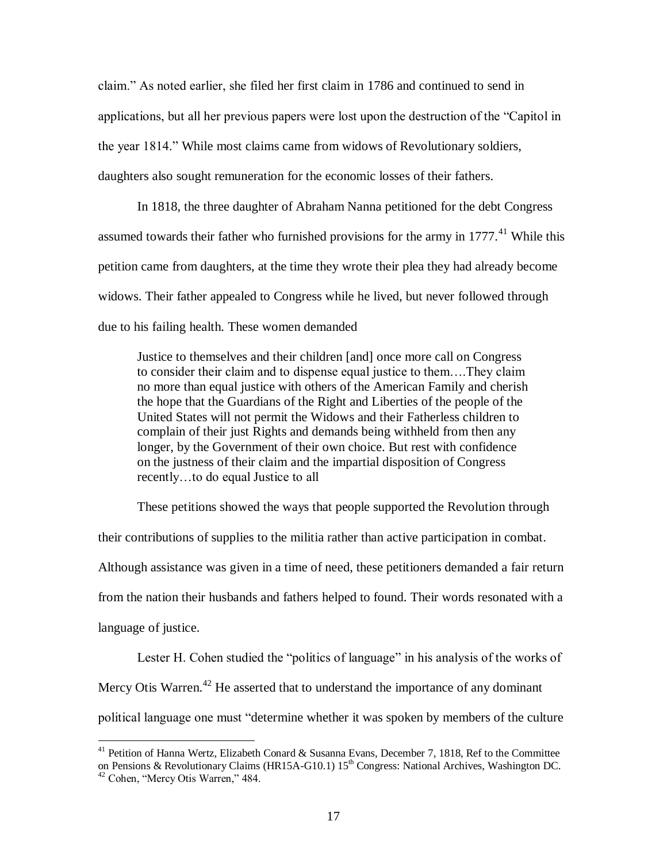claim." As noted earlier, she filed her first claim in 1786 and continued to send in applications, but all her previous papers were lost upon the destruction of the "Capitol in the year 1814." While most claims came from widows of Revolutionary soldiers, daughters also sought remuneration for the economic losses of their fathers.

In 1818, the three daughter of Abraham Nanna petitioned for the debt Congress assumed towards their father who furnished provisions for the army in  $1777$ <sup> $41$ </sup> While this petition came from daughters, at the time they wrote their plea they had already become widows. Their father appealed to Congress while he lived, but never followed through due to his failing health. These women demanded

Justice to themselves and their children [and] once more call on Congress to consider their claim and to dispense equal justice to them….They claim no more than equal justice with others of the American Family and cherish the hope that the Guardians of the Right and Liberties of the people of the United States will not permit the Widows and their Fatherless children to complain of their just Rights and demands being withheld from then any longer, by the Government of their own choice. But rest with confidence on the justness of their claim and the impartial disposition of Congress recently…to do equal Justice to all

These petitions showed the ways that people supported the Revolution through their contributions of supplies to the militia rather than active participation in combat. Although assistance was given in a time of need, these petitioners demanded a fair return from the nation their husbands and fathers helped to found. Their words resonated with a language of justice.

Lester H. Cohen studied the "politics of language" in his analysis of the works of Mercy Otis Warren.<sup>42</sup> He asserted that to understand the importance of any dominant political language one must "determine whether it was spoken by members of the culture

<sup>&</sup>lt;sup>41</sup> Petition of Hanna Wertz, Elizabeth Conard & Susanna Evans, December 7, 1818, Ref to the Committee on Pensions & Revolutionary Claims (HR15A-G10.1) 15<sup>th</sup> Congress: National Archives, Washington DC. <sup>42</sup> Cohen, "Mercy Otis Warren," 484.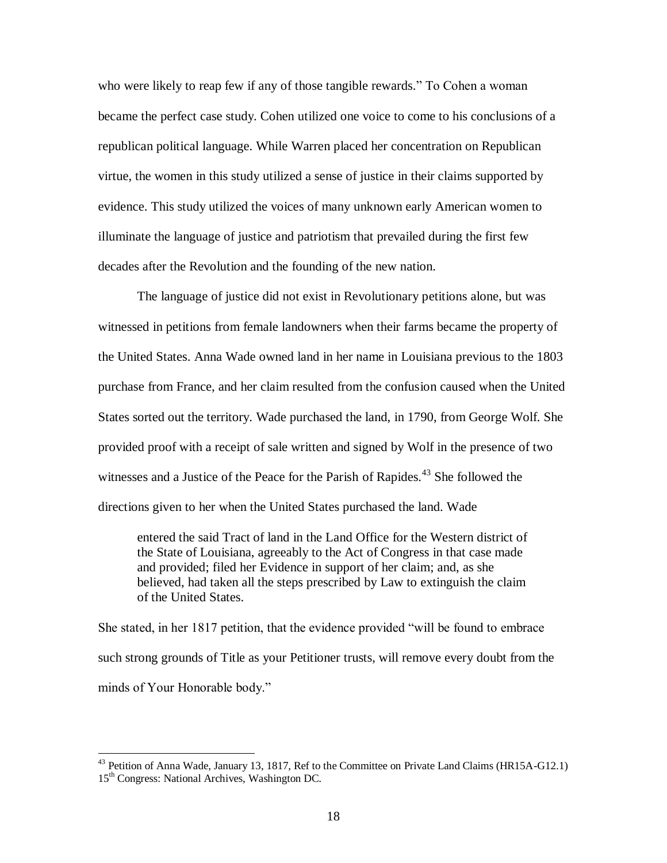who were likely to reap few if any of those tangible rewards." To Cohen a woman became the perfect case study. Cohen utilized one voice to come to his conclusions of a republican political language. While Warren placed her concentration on Republican virtue, the women in this study utilized a sense of justice in their claims supported by evidence. This study utilized the voices of many unknown early American women to illuminate the language of justice and patriotism that prevailed during the first few decades after the Revolution and the founding of the new nation.

The language of justice did not exist in Revolutionary petitions alone, but was witnessed in petitions from female landowners when their farms became the property of the United States. Anna Wade owned land in her name in Louisiana previous to the 1803 purchase from France, and her claim resulted from the confusion caused when the United States sorted out the territory. Wade purchased the land, in 1790, from George Wolf. She provided proof with a receipt of sale written and signed by Wolf in the presence of two witnesses and a Justice of the Peace for the Parish of Rapides.<sup> $43$ </sup> She followed the directions given to her when the United States purchased the land. Wade

entered the said Tract of land in the Land Office for the Western district of the State of Louisiana, agreeably to the Act of Congress in that case made and provided; filed her Evidence in support of her claim; and, as she believed, had taken all the steps prescribed by Law to extinguish the claim of the United States.

She stated, in her 1817 petition, that the evidence provided "will be found to embrace such strong grounds of Title as your Petitioner trusts, will remove every doubt from the minds of Your Honorable body."

<sup>&</sup>lt;sup>43</sup> Petition of Anna Wade, January 13, 1817, Ref to the Committee on Private Land Claims (HR15A-G12.1) 15<sup>th</sup> Congress: National Archives, Washington DC.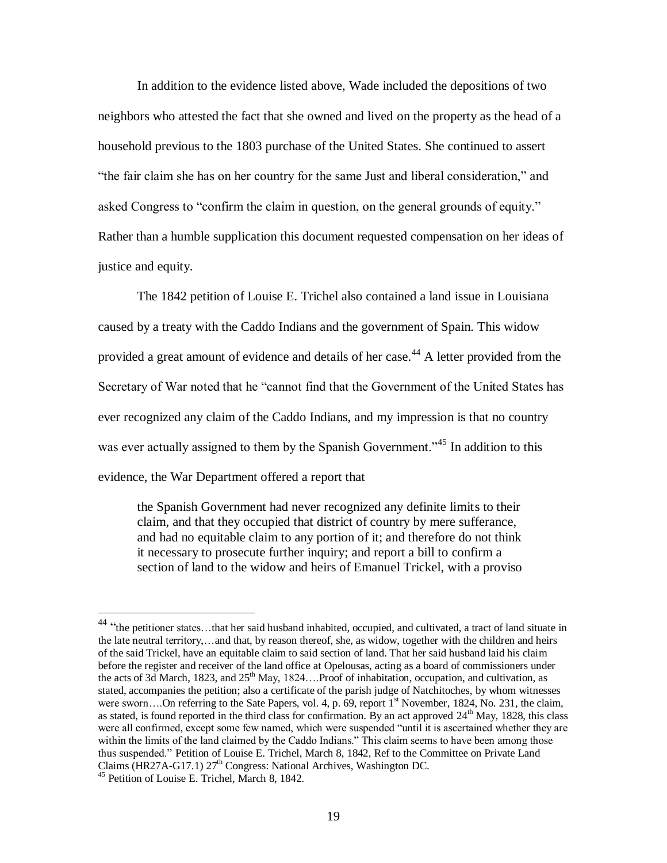In addition to the evidence listed above, Wade included the depositions of two neighbors who attested the fact that she owned and lived on the property as the head of a household previous to the 1803 purchase of the United States. She continued to assert "the fair claim she has on her country for the same Just and liberal consideration," and asked Congress to "confirm the claim in question, on the general grounds of equity." Rather than a humble supplication this document requested compensation on her ideas of justice and equity.

The 1842 petition of Louise E. Trichel also contained a land issue in Louisiana caused by a treaty with the Caddo Indians and the government of Spain. This widow provided a great amount of evidence and details of her case.<sup>44</sup> A letter provided from the Secretary of War noted that he "cannot find that the Government of the United States has ever recognized any claim of the Caddo Indians, and my impression is that no country was ever actually assigned to them by the Spanish Government."<sup>45</sup> In addition to this evidence, the War Department offered a report that

the Spanish Government had never recognized any definite limits to their claim, and that they occupied that district of country by mere sufferance, and had no equitable claim to any portion of it; and therefore do not think it necessary to prosecute further inquiry; and report a bill to confirm a section of land to the widow and heirs of Emanuel Trickel, with a proviso

<sup>&</sup>lt;sup>44</sup> "the petitioner states...that her said husband inhabited, occupied, and cultivated, a tract of land situate in the late neutral territory,…and that, by reason thereof, she, as widow, together with the children and heirs of the said Trickel, have an equitable claim to said section of land. That her said husband laid his claim before the register and receiver of the land office at Opelousas, acting as a board of commissioners under the acts of 3d March, 1823, and 25<sup>th</sup> May, 1824....Proof of inhabitation, occupation, and cultivation, as stated, accompanies the petition; also a certificate of the parish judge of Natchitoches, by whom witnesses were sworn....On referring to the Sate Papers, vol. 4, p. 69, report 1<sup>st</sup> November, 1824, No. 231, the claim, as stated, is found reported in the third class for confirmation. By an act approved  $24<sup>th</sup>$  May, 1828, this class were all confirmed, except some few named, which were suspended "until it is ascertained whether they are within the limits of the land claimed by the Caddo Indians." This claim seems to have been among those thus suspended." Petition of Louise E. Trichel, March 8, 1842, Ref to the Committee on Private Land Claims (HR27A-G17.1) 27<sup>th</sup> Congress: National Archives, Washington DC.

<sup>45</sup> Petition of Louise E. Trichel, March 8, 1842.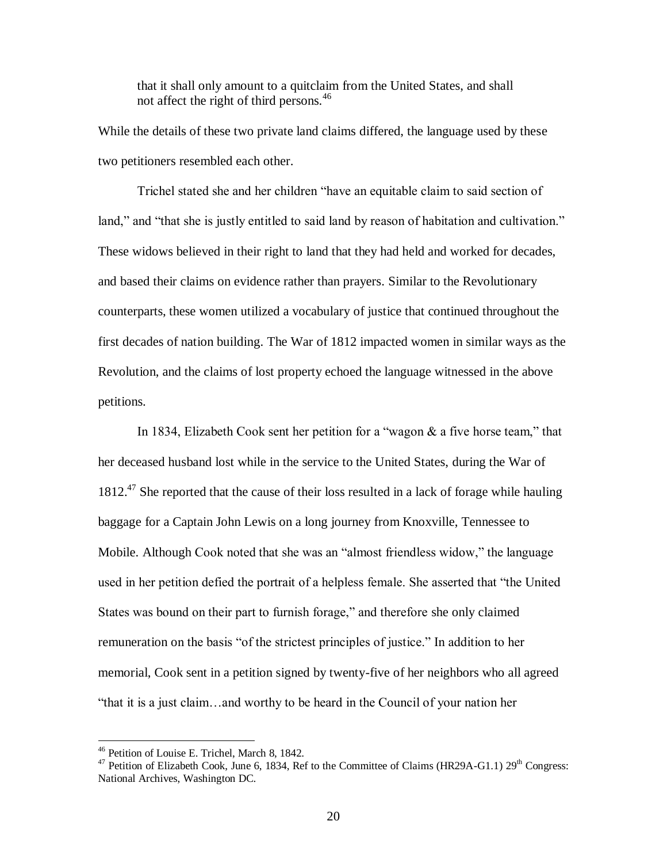that it shall only amount to a quitclaim from the United States, and shall not affect the right of third persons.<sup>46</sup>

While the details of these two private land claims differed, the language used by these two petitioners resembled each other.

Trichel stated she and her children "have an equitable claim to said section of land," and "that she is justly entitled to said land by reason of habitation and cultivation." These widows believed in their right to land that they had held and worked for decades, and based their claims on evidence rather than prayers. Similar to the Revolutionary counterparts, these women utilized a vocabulary of justice that continued throughout the first decades of nation building. The War of 1812 impacted women in similar ways as the Revolution, and the claims of lost property echoed the language witnessed in the above petitions.

In 1834, Elizabeth Cook sent her petition for a "wagon & a five horse team," that her deceased husband lost while in the service to the United States, during the War of  $1812<sup>47</sup>$  She reported that the cause of their loss resulted in a lack of forage while hauling baggage for a Captain John Lewis on a long journey from Knoxville, Tennessee to Mobile. Although Cook noted that she was an "almost friendless widow," the language used in her petition defied the portrait of a helpless female. She asserted that "the United States was bound on their part to furnish forage," and therefore she only claimed remuneration on the basis "of the strictest principles of justice." In addition to her memorial, Cook sent in a petition signed by twenty-five of her neighbors who all agreed "that it is a just claim…and worthy to be heard in the Council of your nation her

<sup>46</sup> Petition of Louise E. Trichel, March 8, 1842.

<sup>&</sup>lt;sup>47</sup> Petition of Elizabeth Cook, June 6, 1834, Ref to the Committee of Claims (HR29A-G1.1) 29<sup>th</sup> Congress: National Archives, Washington DC.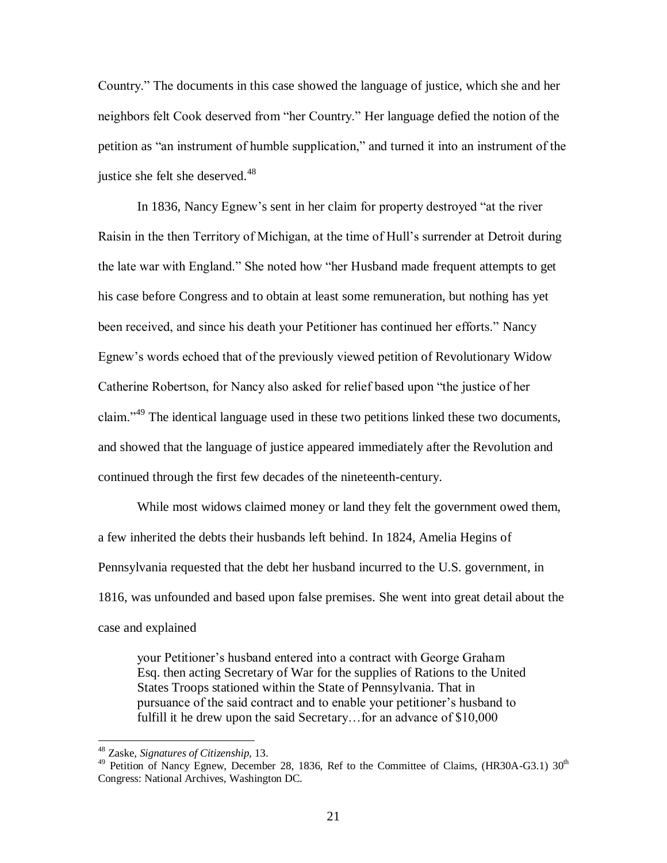Country." The documents in this case showed the language of justice, which she and her neighbors felt Cook deserved from "her Country." Her language defied the notion of the petition as "an instrument of humble supplication," and turned it into an instrument of the justice she felt she deserved. $48$ 

In 1836, Nancy Egnew"s sent in her claim for property destroyed "at the river Raisin in the then Territory of Michigan, at the time of Hull"s surrender at Detroit during the late war with England." She noted how "her Husband made frequent attempts to get his case before Congress and to obtain at least some remuneration, but nothing has yet been received, and since his death your Petitioner has continued her efforts." Nancy Egnew"s words echoed that of the previously viewed petition of Revolutionary Widow Catherine Robertson, for Nancy also asked for relief based upon "the justice of her claim."<sup>49</sup> The identical language used in these two petitions linked these two documents, and showed that the language of justice appeared immediately after the Revolution and continued through the first few decades of the nineteenth-century.

While most widows claimed money or land they felt the government owed them, a few inherited the debts their husbands left behind. In 1824, Amelia Hegins of Pennsylvania requested that the debt her husband incurred to the U.S. government, in 1816, was unfounded and based upon false premises. She went into great detail about the case and explained

your Petitioner"s husband entered into a contract with George Graham Esq. then acting Secretary of War for the supplies of Rations to the United States Troops stationed within the State of Pennsylvania. That in pursuance of the said contract and to enable your petitioner"s husband to fulfill it he drew upon the said Secretary...for an advance of \$10,000

<sup>48</sup> Zaske, *Signatures of Citizenship,* 13.

 $^{49}$  Petition of Nancy Egnew, December 28, 1836, Ref to the Committee of Claims, (HR30A-G3.1) 30<sup>th</sup> Congress: National Archives, Washington DC.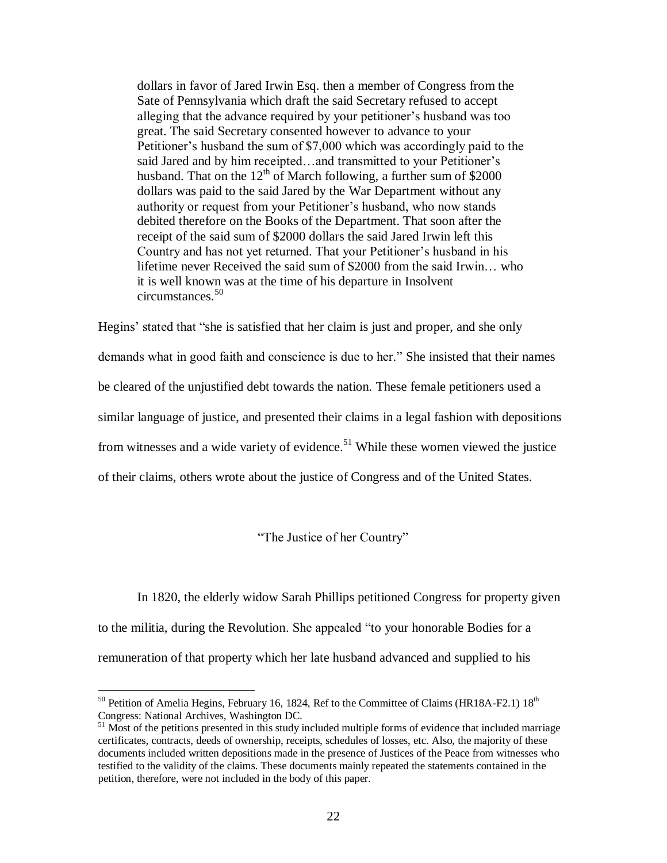dollars in favor of Jared Irwin Esq. then a member of Congress from the Sate of Pennsylvania which draft the said Secretary refused to accept alleging that the advance required by your petitioner"s husband was too great. The said Secretary consented however to advance to your Petitioner"s husband the sum of \$7,000 which was accordingly paid to the said Jared and by him receipted...and transmitted to your Petitioner's husband. That on the  $12<sup>th</sup>$  of March following, a further sum of \$2000 dollars was paid to the said Jared by the War Department without any authority or request from your Petitioner"s husband, who now stands debited therefore on the Books of the Department. That soon after the receipt of the said sum of \$2000 dollars the said Jared Irwin left this Country and has not yet returned. That your Petitioner"s husband in his lifetime never Received the said sum of \$2000 from the said Irwin… who it is well known was at the time of his departure in Insolvent circumstances.<sup>50</sup>

Hegins" stated that "she is satisfied that her claim is just and proper, and she only demands what in good faith and conscience is due to her." She insisted that their names be cleared of the unjustified debt towards the nation. These female petitioners used a similar language of justice, and presented their claims in a legal fashion with depositions from witnesses and a wide variety of evidence.<sup>51</sup> While these women viewed the justice of their claims, others wrote about the justice of Congress and of the United States.

"The Justice of her Country"

In 1820, the elderly widow Sarah Phillips petitioned Congress for property given to the militia, during the Revolution. She appealed "to your honorable Bodies for a remuneration of that property which her late husband advanced and supplied to his

<sup>&</sup>lt;sup>50</sup> Petition of Amelia Hegins, February 16, 1824, Ref to the Committee of Claims (HR18A-F2.1)  $18^{th}$ Congress: National Archives, Washington DC.

<sup>&</sup>lt;sup>51</sup> Most of the petitions presented in this study included multiple forms of evidence that included marriage certificates, contracts, deeds of ownership, receipts, schedules of losses, etc. Also, the majority of these documents included written depositions made in the presence of Justices of the Peace from witnesses who testified to the validity of the claims. These documents mainly repeated the statements contained in the petition, therefore, were not included in the body of this paper.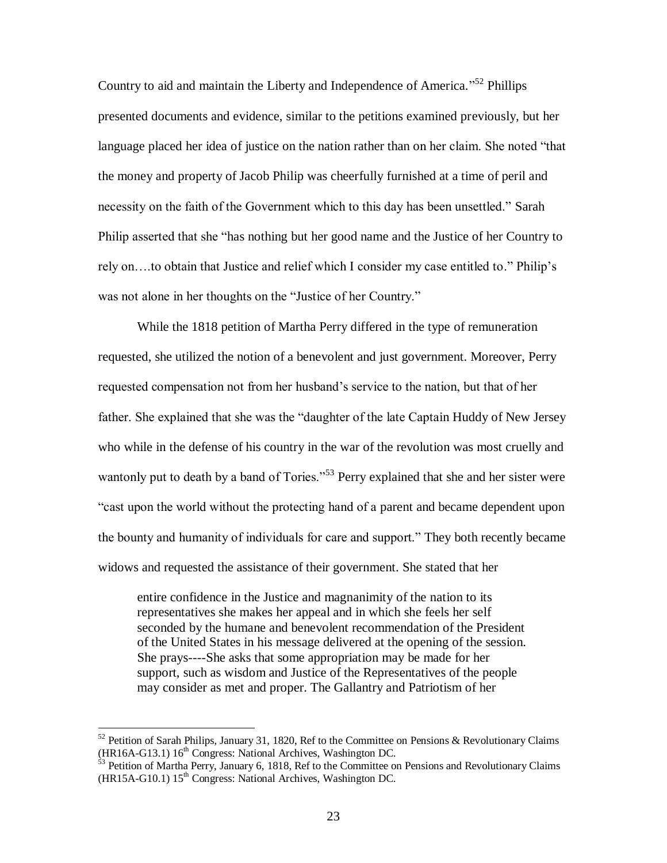Country to aid and maintain the Liberty and Independence of America."<sup>52</sup> Phillips presented documents and evidence, similar to the petitions examined previously, but her language placed her idea of justice on the nation rather than on her claim. She noted "that the money and property of Jacob Philip was cheerfully furnished at a time of peril and necessity on the faith of the Government which to this day has been unsettled." Sarah Philip asserted that she "has nothing but her good name and the Justice of her Country to rely on….to obtain that Justice and relief which I consider my case entitled to." Philip"s was not alone in her thoughts on the "Justice of her Country."

While the 1818 petition of Martha Perry differed in the type of remuneration requested, she utilized the notion of a benevolent and just government. Moreover, Perry requested compensation not from her husband"s service to the nation, but that of her father. She explained that she was the "daughter of the late Captain Huddy of New Jersey who while in the defense of his country in the war of the revolution was most cruelly and wantonly put to death by a band of Tories."<sup>53</sup> Perry explained that she and her sister were "cast upon the world without the protecting hand of a parent and became dependent upon the bounty and humanity of individuals for care and support." They both recently became widows and requested the assistance of their government. She stated that her

entire confidence in the Justice and magnanimity of the nation to its representatives she makes her appeal and in which she feels her self seconded by the humane and benevolent recommendation of the President of the United States in his message delivered at the opening of the session. She prays----She asks that some appropriation may be made for her support, such as wisdom and Justice of the Representatives of the people may consider as met and proper. The Gallantry and Patriotism of her

 $52$  Petition of Sarah Philips, January 31, 1820, Ref to the Committee on Pensions & Revolutionary Claims (HR16A-G13.1) 16<sup>th</sup> Congress: National Archives, Washington DC.

 $\frac{53}{12}$  Petition of Martha Perry, January 6, 1818, Ref to the Committee on Pensions and Revolutionary Claims  $(HR15A-G10.1) 15<sup>th</sup> Congress: National Archives, Washington DC.$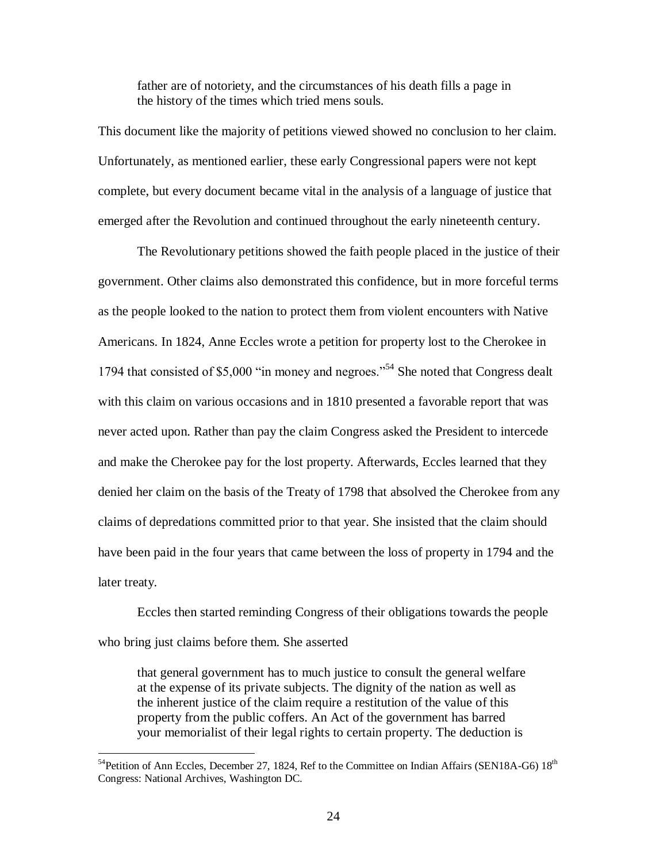father are of notoriety, and the circumstances of his death fills a page in the history of the times which tried mens souls.

This document like the majority of petitions viewed showed no conclusion to her claim. Unfortunately, as mentioned earlier, these early Congressional papers were not kept complete, but every document became vital in the analysis of a language of justice that emerged after the Revolution and continued throughout the early nineteenth century.

The Revolutionary petitions showed the faith people placed in the justice of their government. Other claims also demonstrated this confidence, but in more forceful terms as the people looked to the nation to protect them from violent encounters with Native Americans. In 1824, Anne Eccles wrote a petition for property lost to the Cherokee in 1794 that consisted of \$5,000 "in money and negroes."<sup>54</sup> She noted that Congress dealt with this claim on various occasions and in 1810 presented a favorable report that was never acted upon. Rather than pay the claim Congress asked the President to intercede and make the Cherokee pay for the lost property. Afterwards, Eccles learned that they denied her claim on the basis of the Treaty of 1798 that absolved the Cherokee from any claims of depredations committed prior to that year. She insisted that the claim should have been paid in the four years that came between the loss of property in 1794 and the later treaty.

Eccles then started reminding Congress of their obligations towards the people who bring just claims before them. She asserted

that general government has to much justice to consult the general welfare at the expense of its private subjects. The dignity of the nation as well as the inherent justice of the claim require a restitution of the value of this property from the public coffers. An Act of the government has barred your memorialist of their legal rights to certain property. The deduction is

 $^{54}$ Petition of Ann Eccles, December 27, 1824, Ref to the Committee on Indian Affairs (SEN18A-G6) 18<sup>th</sup> Congress: National Archives, Washington DC.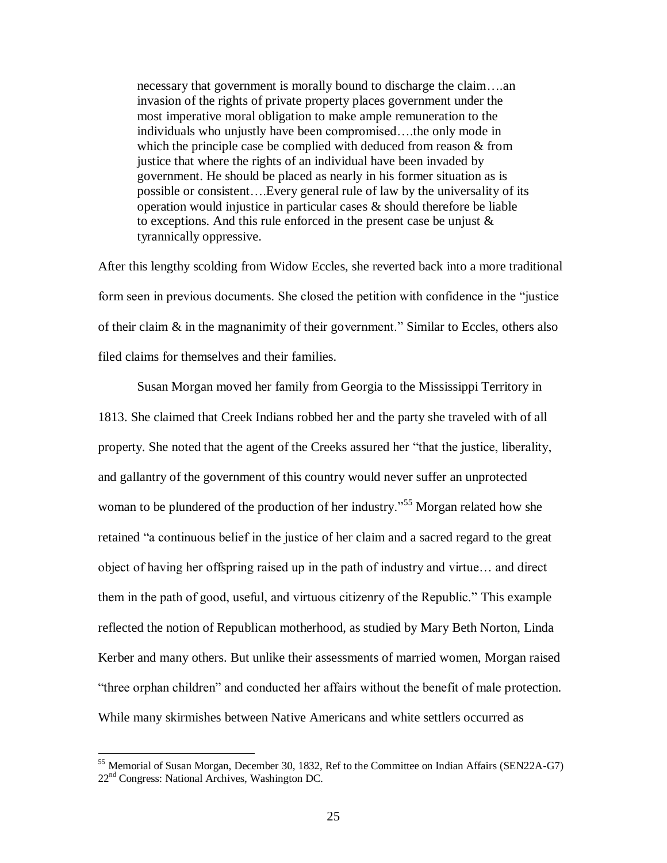necessary that government is morally bound to discharge the claim….an invasion of the rights of private property places government under the most imperative moral obligation to make ample remuneration to the individuals who unjustly have been compromised….the only mode in which the principle case be complied with deduced from reason  $\&$  from justice that where the rights of an individual have been invaded by government. He should be placed as nearly in his former situation as is possible or consistent….Every general rule of law by the universality of its operation would injustice in particular cases & should therefore be liable to exceptions. And this rule enforced in the present case be unjust  $\&$ tyrannically oppressive.

After this lengthy scolding from Widow Eccles, she reverted back into a more traditional form seen in previous documents. She closed the petition with confidence in the "justice of their claim & in the magnanimity of their government." Similar to Eccles, others also filed claims for themselves and their families.

Susan Morgan moved her family from Georgia to the Mississippi Territory in 1813. She claimed that Creek Indians robbed her and the party she traveled with of all property. She noted that the agent of the Creeks assured her "that the justice, liberality, and gallantry of the government of this country would never suffer an unprotected woman to be plundered of the production of her industry."<sup>55</sup> Morgan related how she retained "a continuous belief in the justice of her claim and a sacred regard to the great object of having her offspring raised up in the path of industry and virtue… and direct them in the path of good, useful, and virtuous citizenry of the Republic." This example reflected the notion of Republican motherhood, as studied by Mary Beth Norton, Linda Kerber and many others. But unlike their assessments of married women, Morgan raised "three orphan children" and conducted her affairs without the benefit of male protection. While many skirmishes between Native Americans and white settlers occurred as

<sup>&</sup>lt;sup>55</sup> Memorial of Susan Morgan, December 30, 1832, Ref to the Committee on Indian Affairs (SEN22A-G7) 22nd Congress: National Archives, Washington DC.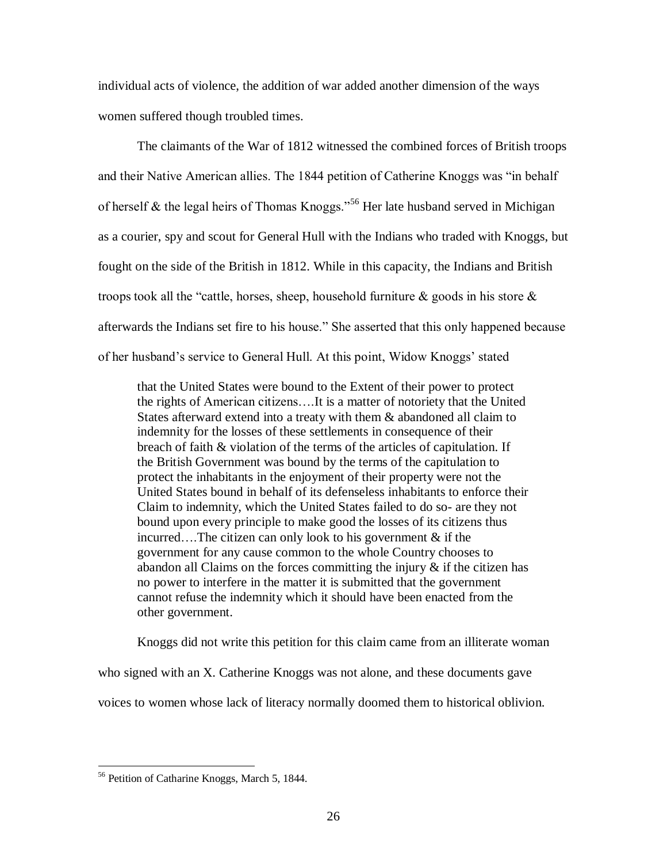individual acts of violence, the addition of war added another dimension of the ways women suffered though troubled times.

The claimants of the War of 1812 witnessed the combined forces of British troops and their Native American allies. The 1844 petition of Catherine Knoggs was "in behalf of herself  $\&$  the legal heirs of Thomas Knoggs."<sup>56</sup> Her late husband served in Michigan as a courier, spy and scout for General Hull with the Indians who traded with Knoggs, but fought on the side of the British in 1812. While in this capacity, the Indians and British troops took all the "cattle, horses, sheep, household furniture  $\&$  goods in his store  $\&$ afterwards the Indians set fire to his house." She asserted that this only happened because of her husband"s service to General Hull. At this point, Widow Knoggs" stated

that the United States were bound to the Extent of their power to protect the rights of American citizens….It is a matter of notoriety that the United States afterward extend into a treaty with them & abandoned all claim to indemnity for the losses of these settlements in consequence of their breach of faith & violation of the terms of the articles of capitulation. If the British Government was bound by the terms of the capitulation to protect the inhabitants in the enjoyment of their property were not the United States bound in behalf of its defenseless inhabitants to enforce their Claim to indemnity, which the United States failed to do so- are they not bound upon every principle to make good the losses of its citizens thus incurred....The citizen can only look to his government  $\&$  if the government for any cause common to the whole Country chooses to abandon all Claims on the forces committing the injury  $\&$  if the citizen has no power to interfere in the matter it is submitted that the government cannot refuse the indemnity which it should have been enacted from the other government.

Knoggs did not write this petition for this claim came from an illiterate woman who signed with an X. Catherine Knoggs was not alone, and these documents gave voices to women whose lack of literacy normally doomed them to historical oblivion.

<sup>56</sup> Petition of Catharine Knoggs, March 5, 1844.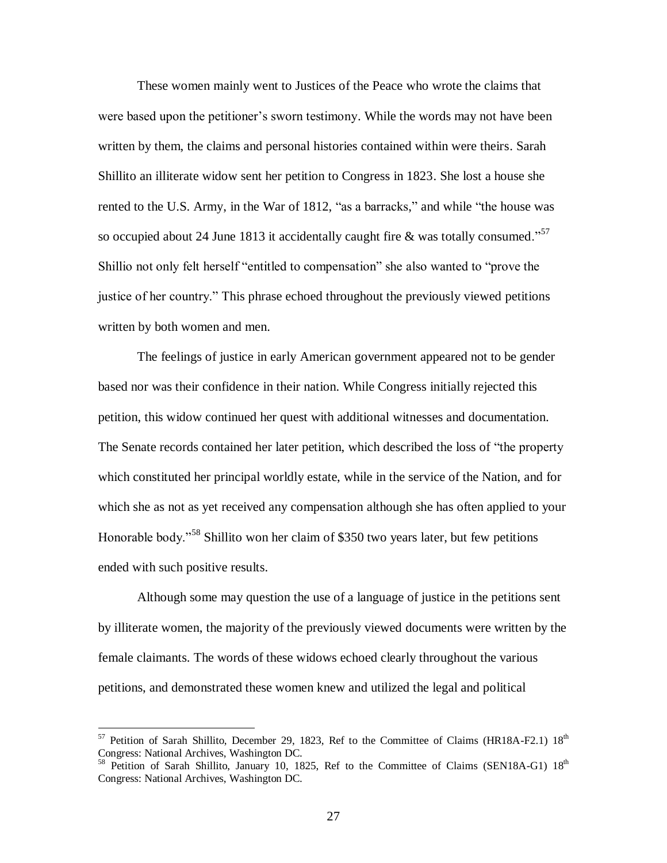These women mainly went to Justices of the Peace who wrote the claims that were based upon the petitioner's sworn testimony. While the words may not have been written by them, the claims and personal histories contained within were theirs. Sarah Shillito an illiterate widow sent her petition to Congress in 1823. She lost a house she rented to the U.S. Army, in the War of 1812, "as a barracks," and while "the house was so occupied about 24 June 1813 it accidentally caught fire & was totally consumed."<sup>57</sup> Shillio not only felt herself "entitled to compensation" she also wanted to "prove the justice of her country." This phrase echoed throughout the previously viewed petitions written by both women and men.

The feelings of justice in early American government appeared not to be gender based nor was their confidence in their nation. While Congress initially rejected this petition, this widow continued her quest with additional witnesses and documentation. The Senate records contained her later petition, which described the loss of "the property which constituted her principal worldly estate, while in the service of the Nation, and for which she as not as yet received any compensation although she has often applied to your Honorable body."<sup>58</sup> Shillito won her claim of \$350 two years later, but few petitions ended with such positive results.

Although some may question the use of a language of justice in the petitions sent by illiterate women, the majority of the previously viewed documents were written by the female claimants. The words of these widows echoed clearly throughout the various petitions, and demonstrated these women knew and utilized the legal and political

 $57$  Petition of Sarah Shillito, December 29, 1823, Ref to the Committee of Claims (HR18A-F2.1)  $18<sup>th</sup>$ Congress: National Archives, Washington DC.

<sup>&</sup>lt;sup>58</sup> Petition of Sarah Shillito, January 10, 1825, Ref to the Committee of Claims (SEN18A-G1) 18<sup>th</sup> Congress: National Archives, Washington DC.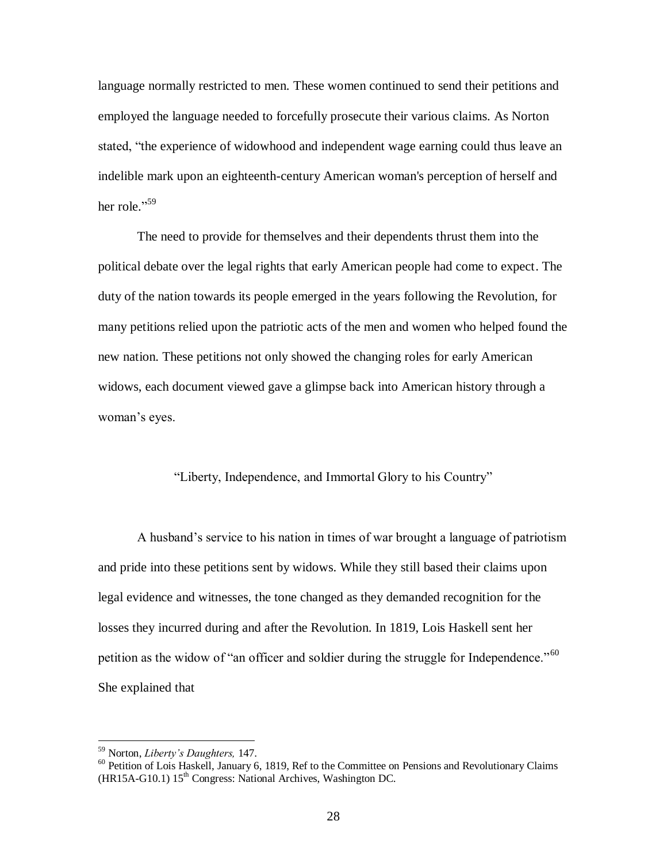language normally restricted to men. These women continued to send their petitions and employed the language needed to forcefully prosecute their various claims. As Norton stated, "the experience of widowhood and independent wage earning could thus leave an indelible mark upon an eighteenth-century American woman's perception of herself and her role."<sup>59</sup>

The need to provide for themselves and their dependents thrust them into the political debate over the legal rights that early American people had come to expect. The duty of the nation towards its people emerged in the years following the Revolution, for many petitions relied upon the patriotic acts of the men and women who helped found the new nation. These petitions not only showed the changing roles for early American widows, each document viewed gave a glimpse back into American history through a woman's eyes.

#### "Liberty, Independence, and Immortal Glory to his Country"

A husband"s service to his nation in times of war brought a language of patriotism and pride into these petitions sent by widows. While they still based their claims upon legal evidence and witnesses, the tone changed as they demanded recognition for the losses they incurred during and after the Revolution. In 1819, Lois Haskell sent her petition as the widow of "an officer and soldier during the struggle for Independence."<sup>60</sup> She explained that

<sup>59</sup> Norton, *Liberty's Daughters,* 147.

<sup>&</sup>lt;sup>60</sup> Petition of Lois Haskell, January 6, 1819, Ref to the Committee on Pensions and Revolutionary Claims  $(HR15A-G10.1) 15<sup>th</sup> Congress: National Archives, Washington DC.$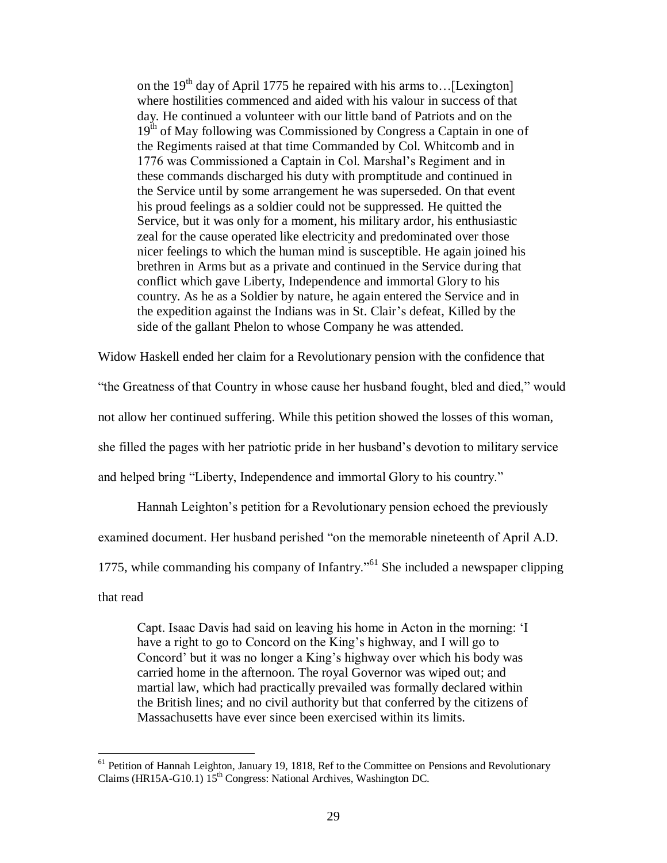on the 19<sup>th</sup> day of April 1775 he repaired with his arms to... [Lexington] where hostilities commenced and aided with his valour in success of that day. He continued a volunteer with our little band of Patriots and on the 19<sup>th</sup> of May following was Commissioned by Congress a Captain in one of the Regiments raised at that time Commanded by Col. Whitcomb and in 1776 was Commissioned a Captain in Col. Marshal"s Regiment and in these commands discharged his duty with promptitude and continued in the Service until by some arrangement he was superseded. On that event his proud feelings as a soldier could not be suppressed. He quitted the Service, but it was only for a moment, his military ardor, his enthusiastic zeal for the cause operated like electricity and predominated over those nicer feelings to which the human mind is susceptible. He again joined his brethren in Arms but as a private and continued in the Service during that conflict which gave Liberty, Independence and immortal Glory to his country. As he as a Soldier by nature, he again entered the Service and in the expedition against the Indians was in St. Clair"s defeat, Killed by the side of the gallant Phelon to whose Company he was attended.

Widow Haskell ended her claim for a Revolutionary pension with the confidence that

"the Greatness of that Country in whose cause her husband fought, bled and died," would

not allow her continued suffering. While this petition showed the losses of this woman,

she filled the pages with her patriotic pride in her husband"s devotion to military service

and helped bring "Liberty, Independence and immortal Glory to his country."

Hannah Leighton"s petition for a Revolutionary pension echoed the previously

examined document. Her husband perished "on the memorable nineteenth of April A.D.

1775, while commanding his company of Infantry."<sup>61</sup> She included a newspaper clipping

that read

 $\overline{a}$ 

Capt. Isaac Davis had said on leaving his home in Acton in the morning: "I have a right to go to Concord on the King's highway, and I will go to Concord" but it was no longer a King"s highway over which his body was carried home in the afternoon. The royal Governor was wiped out; and martial law, which had practically prevailed was formally declared within the British lines; and no civil authority but that conferred by the citizens of Massachusetts have ever since been exercised within its limits.

<sup>&</sup>lt;sup>61</sup> Petition of Hannah Leighton, January 19, 1818, Ref to the Committee on Pensions and Revolutionary Claims (HR15A-G10.1)  $15<sup>th</sup>$  Congress: National Archives, Washington DC.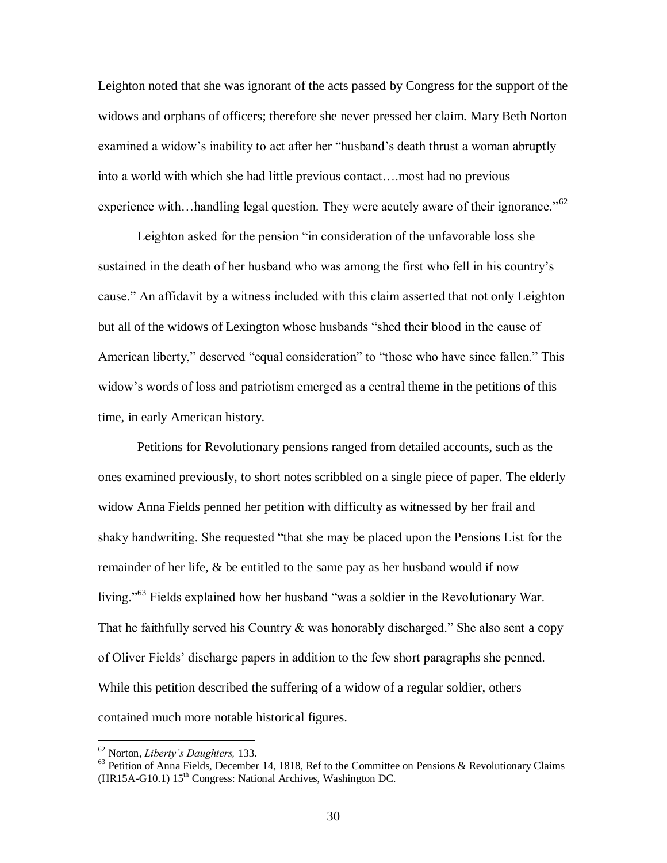Leighton noted that she was ignorant of the acts passed by Congress for the support of the widows and orphans of officers; therefore she never pressed her claim. Mary Beth Norton examined a widow"s inability to act after her "husband"s death thrust a woman abruptly into a world with which she had little previous contact….most had no previous experience with...handling legal question. They were acutely aware of their ignorance."<sup>62</sup>

Leighton asked for the pension "in consideration of the unfavorable loss she sustained in the death of her husband who was among the first who fell in his country's cause." An affidavit by a witness included with this claim asserted that not only Leighton but all of the widows of Lexington whose husbands "shed their blood in the cause of American liberty," deserved "equal consideration" to "those who have since fallen." This widow"s words of loss and patriotism emerged as a central theme in the petitions of this time, in early American history.

Petitions for Revolutionary pensions ranged from detailed accounts, such as the ones examined previously, to short notes scribbled on a single piece of paper. The elderly widow Anna Fields penned her petition with difficulty as witnessed by her frail and shaky handwriting. She requested "that she may be placed upon the Pensions List for the remainder of her life, & be entitled to the same pay as her husband would if now living."<sup>63</sup> Fields explained how her husband "was a soldier in the Revolutionary War. That he faithfully served his Country  $\&$  was honorably discharged." She also sent a copy of Oliver Fields" discharge papers in addition to the few short paragraphs she penned. While this petition described the suffering of a widow of a regular soldier, others contained much more notable historical figures.

<sup>62</sup> Norton, *Liberty's Daughters,* 133.

 $63$  Petition of Anna Fields, December 14, 1818, Ref to the Committee on Pensions & Revolutionary Claims  $(HR15A-G10.1) 15<sup>th</sup> Congress: National Archives, Washington DC.$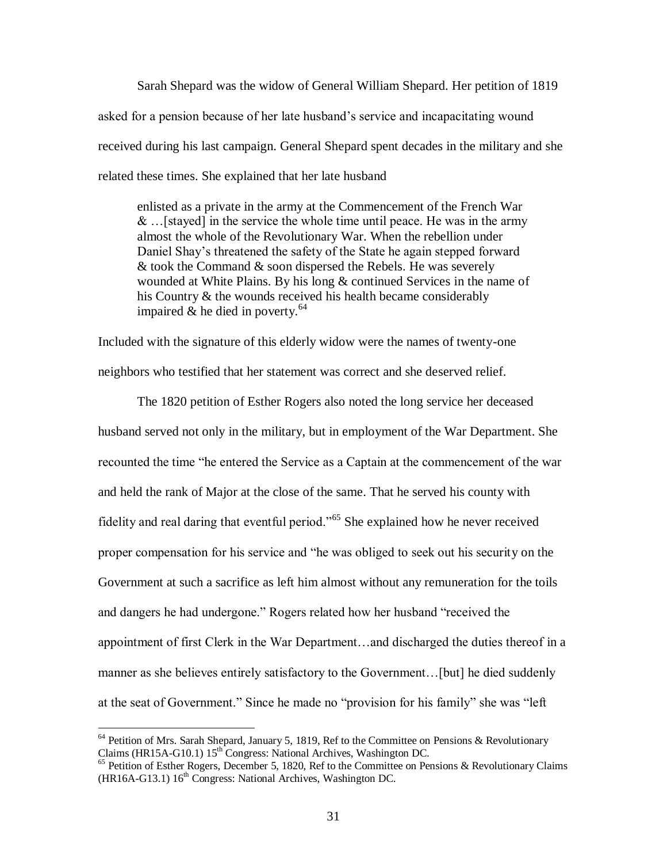Sarah Shepard was the widow of General William Shepard. Her petition of 1819 asked for a pension because of her late husband"s service and incapacitating wound received during his last campaign. General Shepard spent decades in the military and she related these times. She explained that her late husband

enlisted as a private in the army at the Commencement of the French War  $\&$  ... [stayed] in the service the whole time until peace. He was in the army almost the whole of the Revolutionary War. When the rebellion under Daniel Shay"s threatened the safety of the State he again stepped forward & took the Command & soon dispersed the Rebels. He was severely wounded at White Plains. By his long & continued Services in the name of his Country & the wounds received his health became considerably impaired  $\&$  he died in poverty.<sup>64</sup>

Included with the signature of this elderly widow were the names of twenty-one neighbors who testified that her statement was correct and she deserved relief.

The 1820 petition of Esther Rogers also noted the long service her deceased husband served not only in the military, but in employment of the War Department. She recounted the time "he entered the Service as a Captain at the commencement of the war and held the rank of Major at the close of the same. That he served his county with fidelity and real daring that eventful period."<sup>65</sup> She explained how he never received proper compensation for his service and "he was obliged to seek out his security on the Government at such a sacrifice as left him almost without any remuneration for the toils and dangers he had undergone." Rogers related how her husband "received the appointment of first Clerk in the War Department…and discharged the duties thereof in a manner as she believes entirely satisfactory to the Government…[but] he died suddenly at the seat of Government." Since he made no "provision for his family" she was "left

 $64$  Petition of Mrs. Sarah Shepard, January 5, 1819, Ref to the Committee on Pensions & Revolutionary Claims (HR15A-G10.1)  $15<sup>th</sup>$  Congress: National Archives, Washington DC.

<sup>&</sup>lt;sup>65</sup> Petition of Esther Rogers, December 5, 1820, Ref to the Committee on Pensions & Revolutionary Claims (HR16A-G13.1)  $16^{th}$  Congress: National Archives, Washington DC.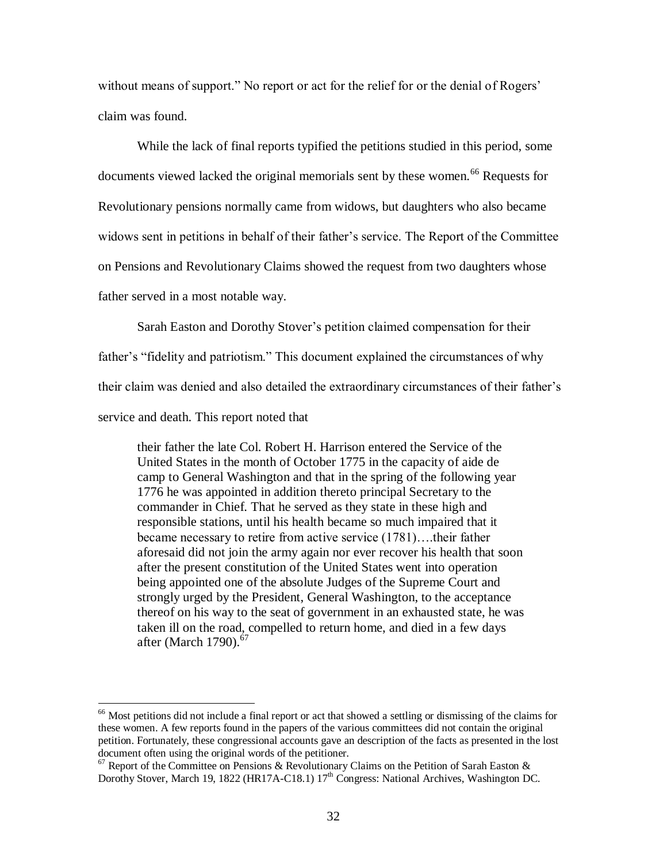without means of support." No report or act for the relief for or the denial of Rogers' claim was found.

While the lack of final reports typified the petitions studied in this period, some documents viewed lacked the original memorials sent by these women.<sup>66</sup> Requests for Revolutionary pensions normally came from widows, but daughters who also became widows sent in petitions in behalf of their father's service. The Report of the Committee on Pensions and Revolutionary Claims showed the request from two daughters whose father served in a most notable way.

Sarah Easton and Dorothy Stover"s petition claimed compensation for their

father's "fidelity and patriotism." This document explained the circumstances of why

their claim was denied and also detailed the extraordinary circumstances of their father"s

service and death. This report noted that

 $\overline{a}$ 

their father the late Col. Robert H. Harrison entered the Service of the United States in the month of October 1775 in the capacity of aide de camp to General Washington and that in the spring of the following year 1776 he was appointed in addition thereto principal Secretary to the commander in Chief. That he served as they state in these high and responsible stations, until his health became so much impaired that it became necessary to retire from active service (1781)….their father aforesaid did not join the army again nor ever recover his health that soon after the present constitution of the United States went into operation being appointed one of the absolute Judges of the Supreme Court and strongly urged by the President, General Washington, to the acceptance thereof on his way to the seat of government in an exhausted state, he was taken ill on the road, compelled to return home, and died in a few days after (March 1790). $67$ 

 $66$  Most petitions did not include a final report or act that showed a settling or dismissing of the claims for these women. A few reports found in the papers of the various committees did not contain the original petition. Fortunately, these congressional accounts gave an description of the facts as presented in the lost document often using the original words of the petitioner.

 $\frac{67}{67}$  Report of the Committee on Pensions & Revolutionary Claims on the Petition of Sarah Easton & Dorothy Stover, March 19, 1822 (HR17A-C18.1) 17<sup>th</sup> Congress: National Archives, Washington DC.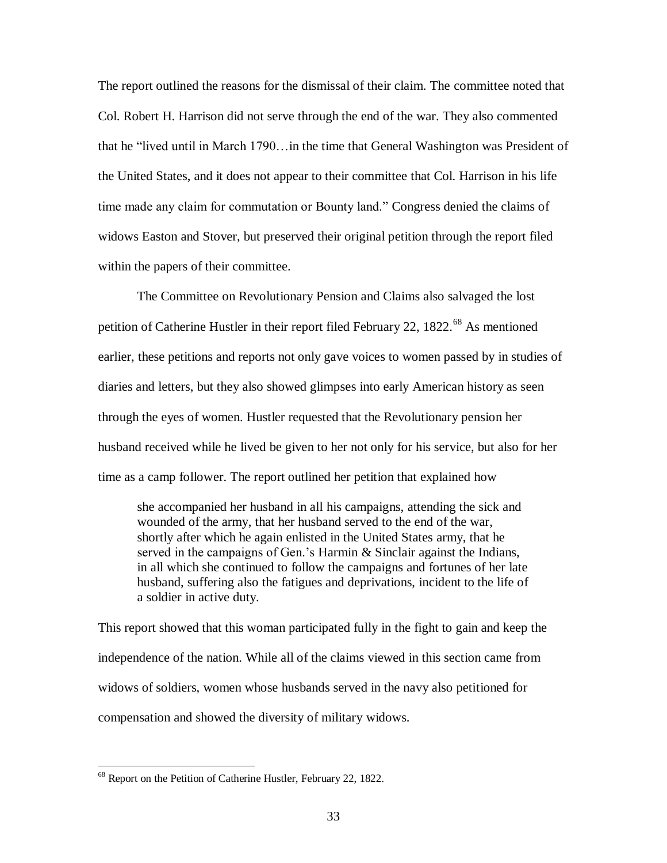The report outlined the reasons for the dismissal of their claim. The committee noted that Col. Robert H. Harrison did not serve through the end of the war. They also commented that he "lived until in March 1790…in the time that General Washington was President of the United States, and it does not appear to their committee that Col. Harrison in his life time made any claim for commutation or Bounty land." Congress denied the claims of widows Easton and Stover, but preserved their original petition through the report filed within the papers of their committee.

The Committee on Revolutionary Pension and Claims also salvaged the lost petition of Catherine Hustler in their report filed February 22,  $1822<sup>68</sup>$  As mentioned earlier, these petitions and reports not only gave voices to women passed by in studies of diaries and letters, but they also showed glimpses into early American history as seen through the eyes of women. Hustler requested that the Revolutionary pension her husband received while he lived be given to her not only for his service, but also for her time as a camp follower. The report outlined her petition that explained how

she accompanied her husband in all his campaigns, attending the sick and wounded of the army, that her husband served to the end of the war, shortly after which he again enlisted in the United States army, that he served in the campaigns of Gen.'s Harmin & Sinclair against the Indians, in all which she continued to follow the campaigns and fortunes of her late husband, suffering also the fatigues and deprivations, incident to the life of a soldier in active duty.

This report showed that this woman participated fully in the fight to gain and keep the independence of the nation. While all of the claims viewed in this section came from widows of soldiers, women whose husbands served in the navy also petitioned for compensation and showed the diversity of military widows.

<sup>68</sup> Report on the Petition of Catherine Hustler, February 22, 1822.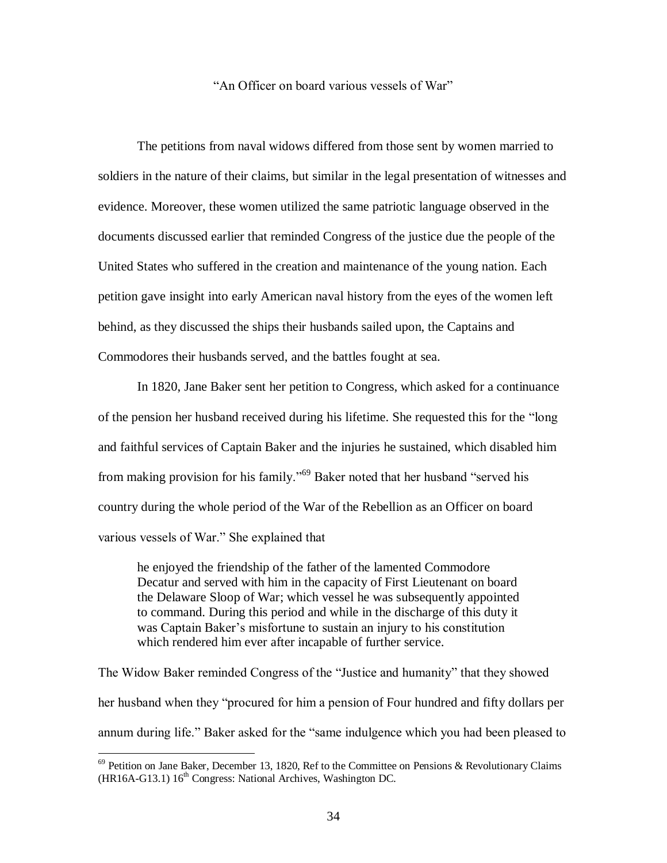#### "An Officer on board various vessels of War"

The petitions from naval widows differed from those sent by women married to soldiers in the nature of their claims, but similar in the legal presentation of witnesses and evidence. Moreover, these women utilized the same patriotic language observed in the documents discussed earlier that reminded Congress of the justice due the people of the United States who suffered in the creation and maintenance of the young nation. Each petition gave insight into early American naval history from the eyes of the women left behind, as they discussed the ships their husbands sailed upon, the Captains and Commodores their husbands served, and the battles fought at sea.

In 1820, Jane Baker sent her petition to Congress, which asked for a continuance of the pension her husband received during his lifetime. She requested this for the "long and faithful services of Captain Baker and the injuries he sustained, which disabled him from making provision for his family."<sup>69</sup> Baker noted that her husband "served his country during the whole period of the War of the Rebellion as an Officer on board various vessels of War." She explained that

he enjoyed the friendship of the father of the lamented Commodore Decatur and served with him in the capacity of First Lieutenant on board the Delaware Sloop of War; which vessel he was subsequently appointed to command. During this period and while in the discharge of this duty it was Captain Baker's misfortune to sustain an injury to his constitution which rendered him ever after incapable of further service.

The Widow Baker reminded Congress of the "Justice and humanity" that they showed her husband when they "procured for him a pension of Four hundred and fifty dollars per annum during life." Baker asked for the "same indulgence which you had been pleased to

 $69$  Petition on Jane Baker, December 13, 1820, Ref to the Committee on Pensions & Revolutionary Claims  $(HR16A-G13.1) 16<sup>th</sup> Congress: National Archives, Washington DC.$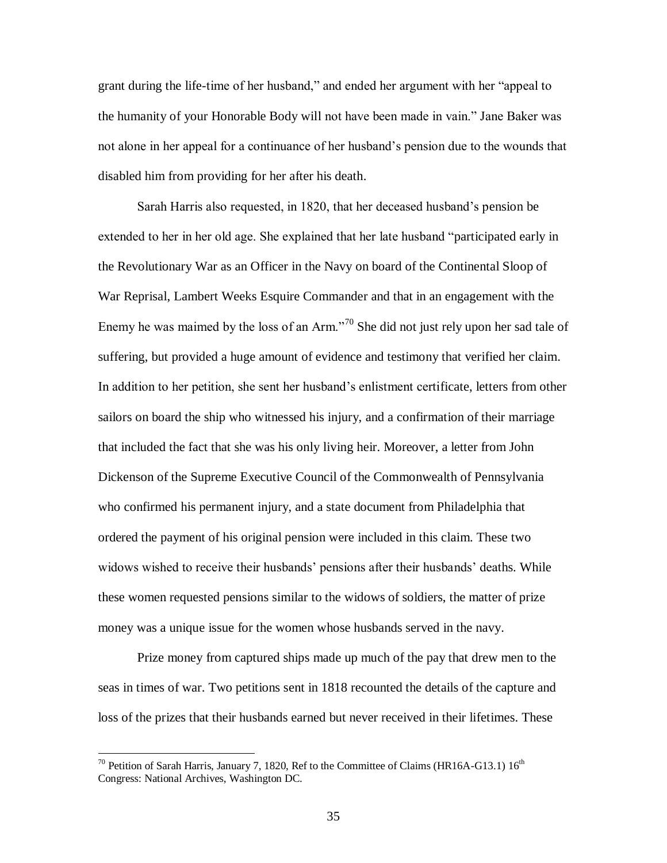grant during the life-time of her husband," and ended her argument with her "appeal to the humanity of your Honorable Body will not have been made in vain." Jane Baker was not alone in her appeal for a continuance of her husband"s pension due to the wounds that disabled him from providing for her after his death.

Sarah Harris also requested, in 1820, that her deceased husband"s pension be extended to her in her old age. She explained that her late husband "participated early in the Revolutionary War as an Officer in the Navy on board of the Continental Sloop of War Reprisal, Lambert Weeks Esquire Commander and that in an engagement with the Enemy he was maimed by the loss of an Arm."<sup>70</sup> She did not just rely upon her sad tale of suffering, but provided a huge amount of evidence and testimony that verified her claim. In addition to her petition, she sent her husband"s enlistment certificate, letters from other sailors on board the ship who witnessed his injury, and a confirmation of their marriage that included the fact that she was his only living heir. Moreover, a letter from John Dickenson of the Supreme Executive Council of the Commonwealth of Pennsylvania who confirmed his permanent injury, and a state document from Philadelphia that ordered the payment of his original pension were included in this claim. These two widows wished to receive their husbands" pensions after their husbands" deaths. While these women requested pensions similar to the widows of soldiers, the matter of prize money was a unique issue for the women whose husbands served in the navy.

Prize money from captured ships made up much of the pay that drew men to the seas in times of war. Two petitions sent in 1818 recounted the details of the capture and loss of the prizes that their husbands earned but never received in their lifetimes. These

<sup>&</sup>lt;sup>70</sup> Petition of Sarah Harris, January 7, 1820, Ref to the Committee of Claims (HR16A-G13.1)  $16^{th}$ Congress: National Archives, Washington DC.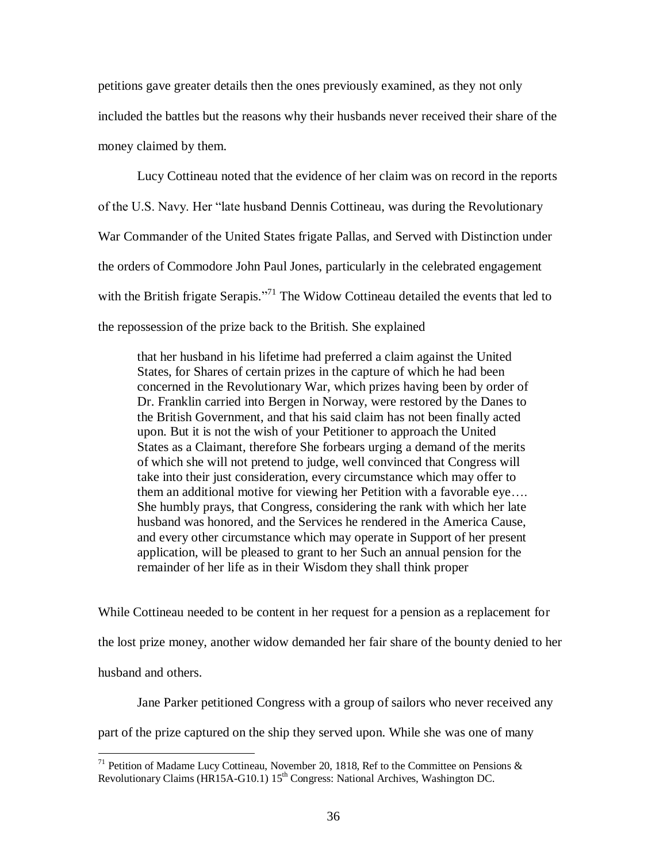petitions gave greater details then the ones previously examined, as they not only included the battles but the reasons why their husbands never received their share of the money claimed by them.

Lucy Cottineau noted that the evidence of her claim was on record in the reports of the U.S. Navy. Her "late husband Dennis Cottineau, was during the Revolutionary War Commander of the United States frigate Pallas, and Served with Distinction under the orders of Commodore John Paul Jones, particularly in the celebrated engagement with the British frigate Serapis."<sup>71</sup> The Widow Cottineau detailed the events that led to the repossession of the prize back to the British. She explained

that her husband in his lifetime had preferred a claim against the United States, for Shares of certain prizes in the capture of which he had been concerned in the Revolutionary War, which prizes having been by order of Dr. Franklin carried into Bergen in Norway, were restored by the Danes to the British Government, and that his said claim has not been finally acted upon. But it is not the wish of your Petitioner to approach the United States as a Claimant, therefore She forbears urging a demand of the merits of which she will not pretend to judge, well convinced that Congress will take into their just consideration, every circumstance which may offer to them an additional motive for viewing her Petition with a favorable eye…. She humbly prays, that Congress, considering the rank with which her late husband was honored, and the Services he rendered in the America Cause, and every other circumstance which may operate in Support of her present application, will be pleased to grant to her Such an annual pension for the remainder of her life as in their Wisdom they shall think proper

While Cottineau needed to be content in her request for a pension as a replacement for the lost prize money, another widow demanded her fair share of the bounty denied to her husband and others.

Jane Parker petitioned Congress with a group of sailors who never received any

part of the prize captured on the ship they served upon. While she was one of many

<sup>&</sup>lt;sup>71</sup> Petition of Madame Lucy Cottineau, November 20, 1818, Ref to the Committee on Pensions  $\&$ Revolutionary Claims (HR15A-G10.1) 15<sup>th</sup> Congress: National Archives, Washington DC.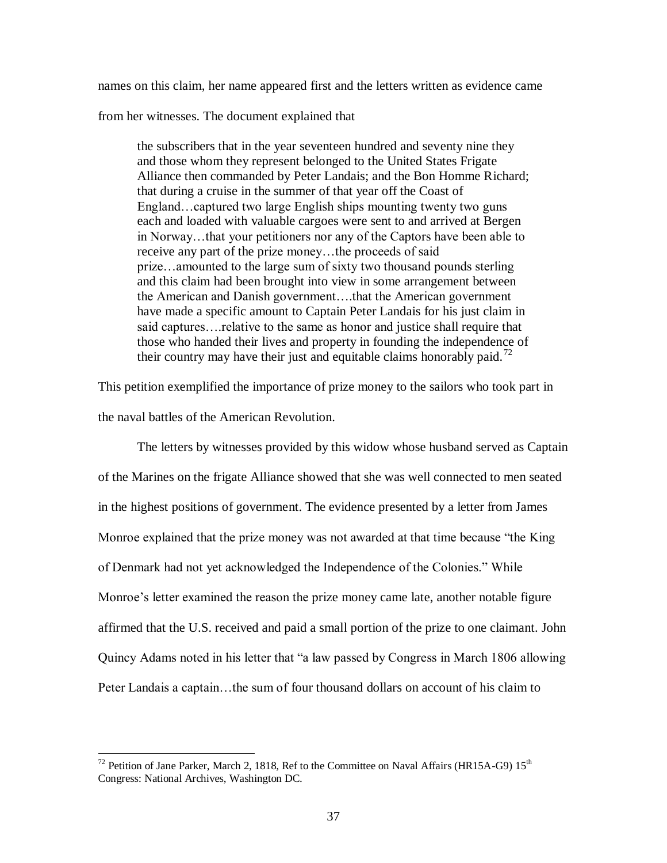names on this claim, her name appeared first and the letters written as evidence came

from her witnesses. The document explained that

the subscribers that in the year seventeen hundred and seventy nine they and those whom they represent belonged to the United States Frigate Alliance then commanded by Peter Landais; and the Bon Homme Richard; that during a cruise in the summer of that year off the Coast of England…captured two large English ships mounting twenty two guns each and loaded with valuable cargoes were sent to and arrived at Bergen in Norway…that your petitioners nor any of the Captors have been able to receive any part of the prize money…the proceeds of said prize…amounted to the large sum of sixty two thousand pounds sterling and this claim had been brought into view in some arrangement between the American and Danish government….that the American government have made a specific amount to Captain Peter Landais for his just claim in said captures….relative to the same as honor and justice shall require that those who handed their lives and property in founding the independence of their country may have their just and equitable claims honorably paid.<sup>72</sup>

This petition exemplified the importance of prize money to the sailors who took part in the naval battles of the American Revolution.

The letters by witnesses provided by this widow whose husband served as Captain of the Marines on the frigate Alliance showed that she was well connected to men seated in the highest positions of government. The evidence presented by a letter from James Monroe explained that the prize money was not awarded at that time because "the King of Denmark had not yet acknowledged the Independence of the Colonies." While Monroe's letter examined the reason the prize money came late, another notable figure affirmed that the U.S. received and paid a small portion of the prize to one claimant. John Quincy Adams noted in his letter that "a law passed by Congress in March 1806 allowing Peter Landais a captain…the sum of four thousand dollars on account of his claim to

<sup>&</sup>lt;sup>72</sup> Petition of Jane Parker, March 2, 1818, Ref to the Committee on Naval Affairs (HR15A-G9)  $15<sup>th</sup>$ Congress: National Archives, Washington DC.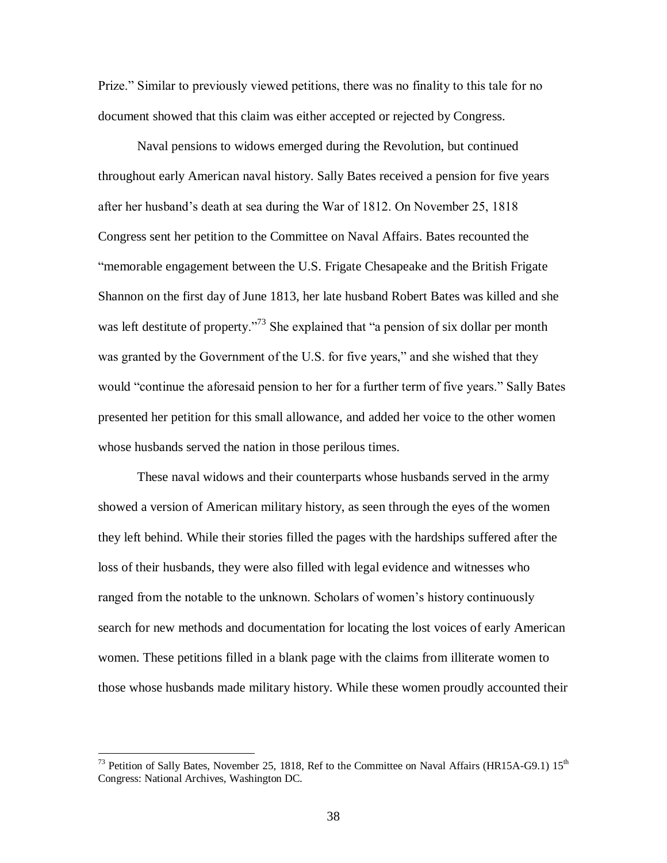Prize." Similar to previously viewed petitions, there was no finality to this tale for no document showed that this claim was either accepted or rejected by Congress.

Naval pensions to widows emerged during the Revolution, but continued throughout early American naval history. Sally Bates received a pension for five years after her husband"s death at sea during the War of 1812. On November 25, 1818 Congress sent her petition to the Committee on Naval Affairs. Bates recounted the "memorable engagement between the U.S. Frigate Chesapeake and the British Frigate Shannon on the first day of June 1813, her late husband Robert Bates was killed and she was left destitute of property."<sup>73</sup> She explained that "a pension of six dollar per month was granted by the Government of the U.S. for five years," and she wished that they would "continue the aforesaid pension to her for a further term of five years." Sally Bates presented her petition for this small allowance, and added her voice to the other women whose husbands served the nation in those perilous times.

These naval widows and their counterparts whose husbands served in the army showed a version of American military history, as seen through the eyes of the women they left behind. While their stories filled the pages with the hardships suffered after the loss of their husbands, they were also filled with legal evidence and witnesses who ranged from the notable to the unknown. Scholars of women"s history continuously search for new methods and documentation for locating the lost voices of early American women. These petitions filled in a blank page with the claims from illiterate women to those whose husbands made military history. While these women proudly accounted their

<sup>&</sup>lt;sup>73</sup> Petition of Sally Bates, November 25, 1818, Ref to the Committee on Naval Affairs (HR15A-G9.1)  $15<sup>th</sup>$ Congress: National Archives, Washington DC.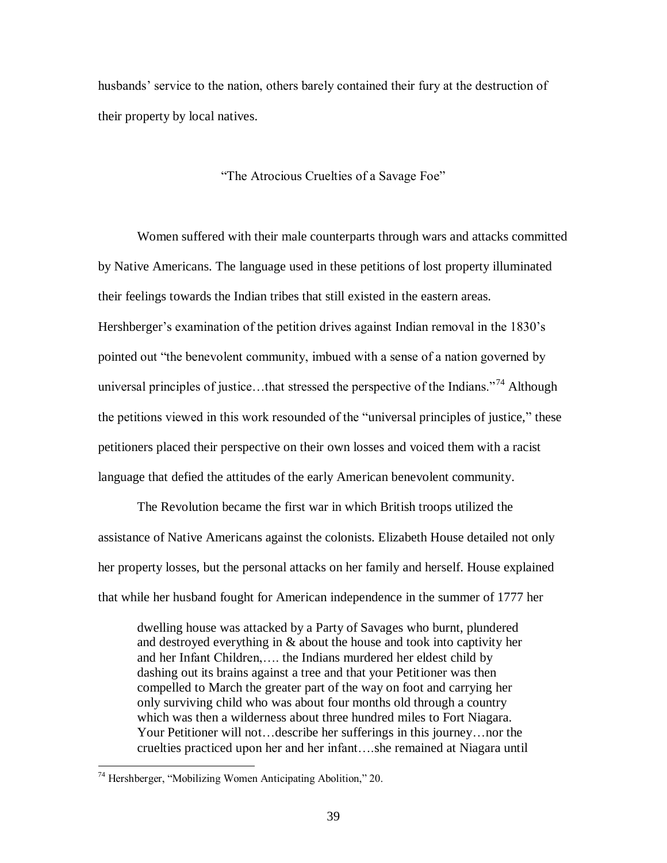husbands' service to the nation, others barely contained their fury at the destruction of their property by local natives.

"The Atrocious Cruelties of a Savage Foe"

Women suffered with their male counterparts through wars and attacks committed by Native Americans. The language used in these petitions of lost property illuminated their feelings towards the Indian tribes that still existed in the eastern areas. Hershberger's examination of the petition drives against Indian removal in the 1830's pointed out "the benevolent community, imbued with a sense of a nation governed by universal principles of justice...that stressed the perspective of the Indians.<sup> $274$ </sup> Although the petitions viewed in this work resounded of the "universal principles of justice," these petitioners placed their perspective on their own losses and voiced them with a racist language that defied the attitudes of the early American benevolent community.

The Revolution became the first war in which British troops utilized the assistance of Native Americans against the colonists. Elizabeth House detailed not only her property losses, but the personal attacks on her family and herself. House explained that while her husband fought for American independence in the summer of 1777 her

dwelling house was attacked by a Party of Savages who burnt, plundered and destroyed everything in & about the house and took into captivity her and her Infant Children,…. the Indians murdered her eldest child by dashing out its brains against a tree and that your Petitioner was then compelled to March the greater part of the way on foot and carrying her only surviving child who was about four months old through a country which was then a wilderness about three hundred miles to Fort Niagara. Your Petitioner will not…describe her sufferings in this journey…nor the cruelties practiced upon her and her infant….she remained at Niagara until

<sup>74</sup> Hershberger, "Mobilizing Women Anticipating Abolition," 20.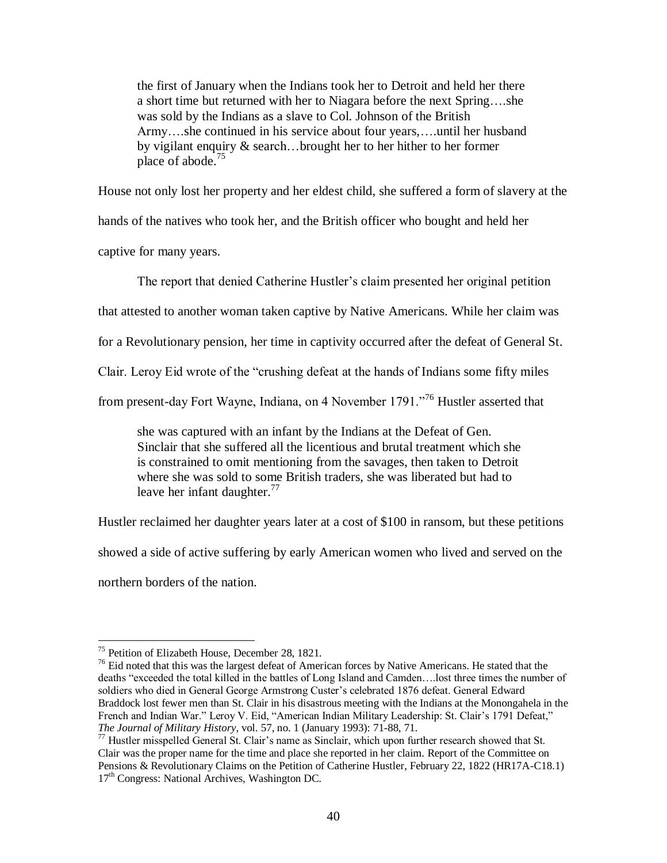the first of January when the Indians took her to Detroit and held her there a short time but returned with her to Niagara before the next Spring….she was sold by the Indians as a slave to Col. Johnson of the British Army….she continued in his service about four years,….until her husband by vigilant enquiry & search…brought her to her hither to her former place of abode.<sup>75</sup>

House not only lost her property and her eldest child, she suffered a form of slavery at the

hands of the natives who took her, and the British officer who bought and held her

captive for many years.

The report that denied Catherine Hustler's claim presented her original petition

that attested to another woman taken captive by Native Americans. While her claim was

for a Revolutionary pension, her time in captivity occurred after the defeat of General St.

Clair. Leroy Eid wrote of the "crushing defeat at the hands of Indians some fifty miles

from present-day Fort Wayne, Indiana, on 4 November 1791."<sup>76</sup> Hustler asserted that

she was captured with an infant by the Indians at the Defeat of Gen. Sinclair that she suffered all the licentious and brutal treatment which she is constrained to omit mentioning from the savages, then taken to Detroit where she was sold to some British traders, she was liberated but had to leave her infant daughter.<sup>77</sup>

Hustler reclaimed her daughter years later at a cost of \$100 in ransom, but these petitions

showed a side of active suffering by early American women who lived and served on the

northern borders of the nation.

<sup>75</sup> Petition of Elizabeth House, December 28, 1821.

 $76$  Eid noted that this was the largest defeat of American forces by Native Americans. He stated that the deaths "exceeded the total killed in the battles of Long Island and Camden….lost three times the number of soldiers who died in General George Armstrong Custer's celebrated 1876 defeat. General Edward Braddock lost fewer men than St. Clair in his disastrous meeting with the Indians at the Monongahela in the French and Indian War." Leroy V. Eid, "American Indian Military Leadership: St. Clair's 1791 Defeat," *The Journal of Military History*, vol. 57, no. 1 (January 1993): 71-88, 71.

<sup>&</sup>lt;sup>77</sup> Hustler misspelled General St. Clair's name as Sinclair, which upon further research showed that St. Clair was the proper name for the time and place she reported in her claim. Report of the Committee on Pensions & Revolutionary Claims on the Petition of Catherine Hustler, February 22, 1822 (HR17A-C18.1) 17<sup>th</sup> Congress: National Archives, Washington DC.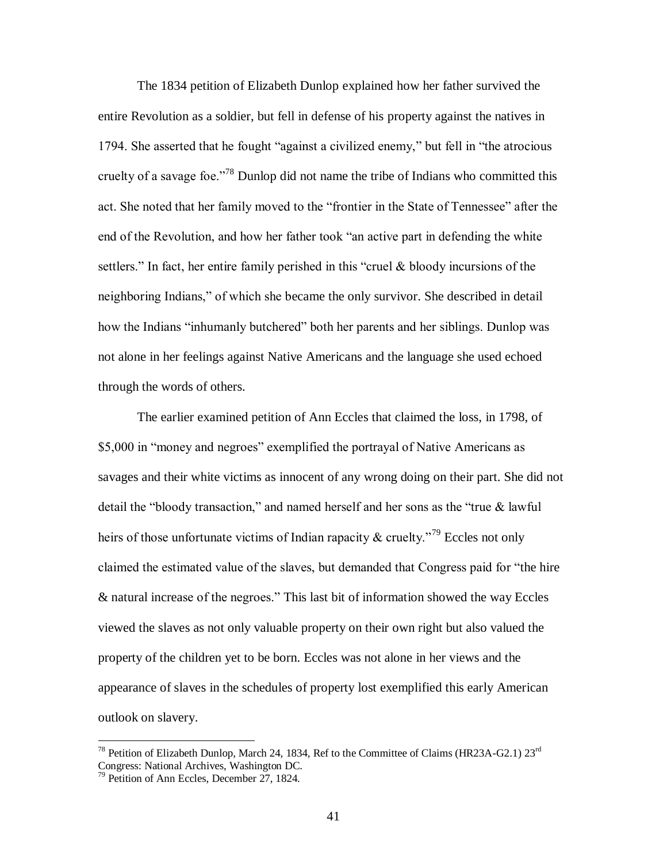The 1834 petition of Elizabeth Dunlop explained how her father survived the entire Revolution as a soldier, but fell in defense of his property against the natives in 1794. She asserted that he fought "against a civilized enemy," but fell in "the atrocious cruelty of a savage foe."<sup>78</sup> Dunlop did not name the tribe of Indians who committed this act. She noted that her family moved to the "frontier in the State of Tennessee" after the end of the Revolution, and how her father took "an active part in defending the white settlers." In fact, her entire family perished in this "cruel & bloody incursions of the neighboring Indians," of which she became the only survivor. She described in detail how the Indians "inhumanly butchered" both her parents and her siblings. Dunlop was not alone in her feelings against Native Americans and the language she used echoed through the words of others.

The earlier examined petition of Ann Eccles that claimed the loss, in 1798, of \$5,000 in "money and negroes" exemplified the portrayal of Native Americans as savages and their white victims as innocent of any wrong doing on their part. She did not detail the "bloody transaction," and named herself and her sons as the "true & lawful heirs of those unfortunate victims of Indian rapacity  $\&$  cruelty.<sup>79</sup> Eccles not only claimed the estimated value of the slaves, but demanded that Congress paid for "the hire & natural increase of the negroes." This last bit of information showed the way Eccles viewed the slaves as not only valuable property on their own right but also valued the property of the children yet to be born. Eccles was not alone in her views and the appearance of slaves in the schedules of property lost exemplified this early American outlook on slavery.

<sup>&</sup>lt;sup>78</sup> Petition of Elizabeth Dunlop, March 24, 1834, Ref to the Committee of Claims (HR23A-G2.1) 23<sup>rd</sup> Congress: National Archives, Washington DC.

<sup>79</sup> Petition of Ann Eccles, December 27, 1824.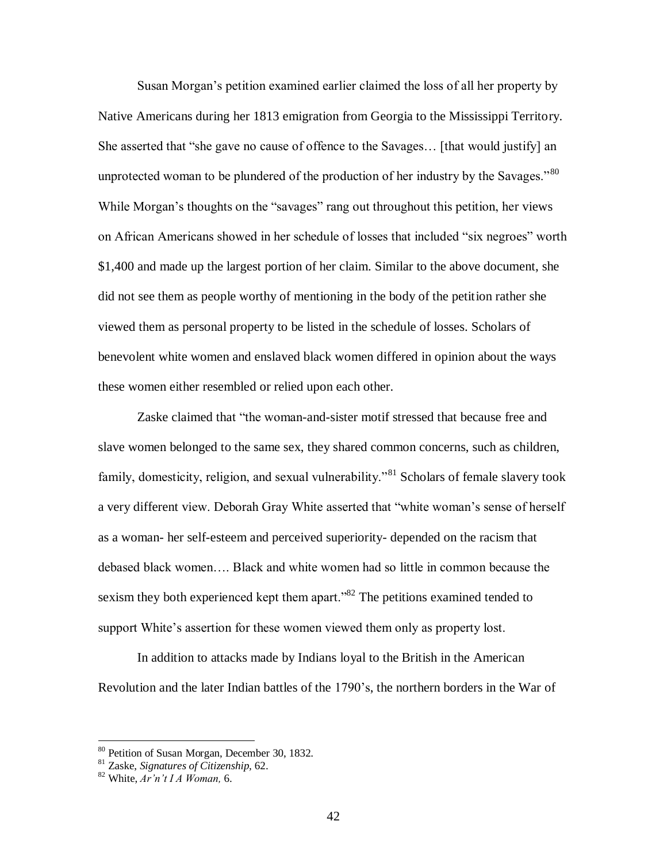Susan Morgan"s petition examined earlier claimed the loss of all her property by Native Americans during her 1813 emigration from Georgia to the Mississippi Territory. She asserted that "she gave no cause of offence to the Savages… [that would justify] an unprotected woman to be plundered of the production of her industry by the Savages."<sup>80</sup> While Morgan"s thoughts on the "savages" rang out throughout this petition, her views on African Americans showed in her schedule of losses that included "six negroes" worth \$1,400 and made up the largest portion of her claim. Similar to the above document, she did not see them as people worthy of mentioning in the body of the petition rather she viewed them as personal property to be listed in the schedule of losses. Scholars of benevolent white women and enslaved black women differed in opinion about the ways these women either resembled or relied upon each other.

Zaske claimed that "the woman-and-sister motif stressed that because free and slave women belonged to the same sex, they shared common concerns, such as children, family, domesticity, religion, and sexual vulnerability."<sup>81</sup> Scholars of female slavery took a very different view. Deborah Gray White asserted that "white woman"s sense of herself as a woman- her self-esteem and perceived superiority- depended on the racism that debased black women…. Black and white women had so little in common because the sexism they both experienced kept them apart."<sup>82</sup> The petitions examined tended to support White's assertion for these women viewed them only as property lost.

In addition to attacks made by Indians loyal to the British in the American Revolution and the later Indian battles of the 1790"s, the northern borders in the War of

<sup>80</sup> Petition of Susan Morgan, December 30, 1832.

<sup>81</sup> Zaske, *Signatures of Citizenship,* 62.

<sup>82</sup> White, *Ar'n't I A Woman,* 6.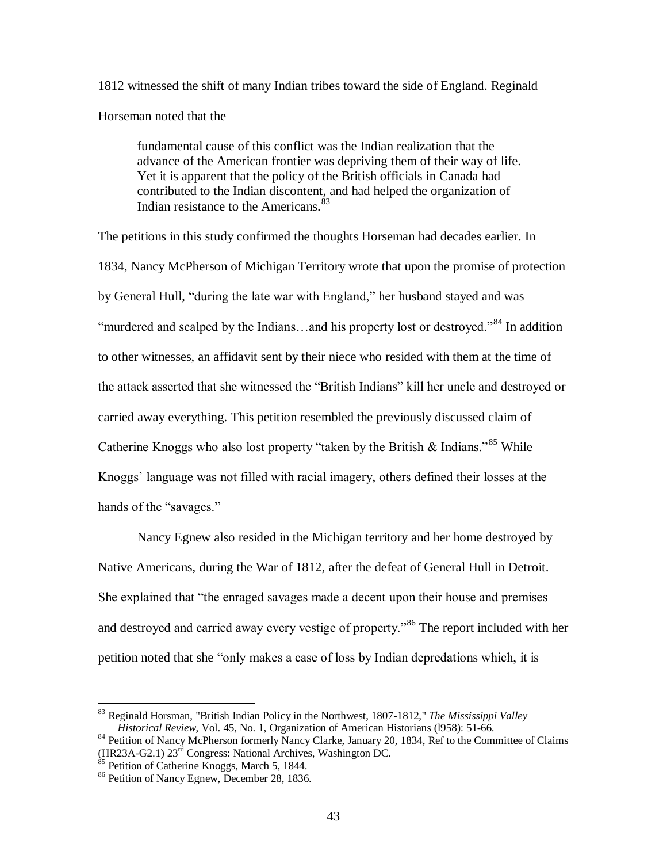1812 witnessed the shift of many Indian tribes toward the side of England. Reginald Horseman noted that the

fundamental cause of this conflict was the Indian realization that the advance of the American frontier was depriving them of their way of life. Yet it is apparent that the policy of the British officials in Canada had contributed to the Indian discontent, and had helped the organization of Indian resistance to the Americans.<sup>83</sup>

The petitions in this study confirmed the thoughts Horseman had decades earlier. In 1834, Nancy McPherson of Michigan Territory wrote that upon the promise of protection by General Hull, "during the late war with England," her husband stayed and was "murdered and scalped by the Indians...and his property lost or destroyed."<sup>84</sup> In addition to other witnesses, an affidavit sent by their niece who resided with them at the time of the attack asserted that she witnessed the "British Indians" kill her uncle and destroyed or carried away everything. This petition resembled the previously discussed claim of Catherine Knoggs who also lost property "taken by the British  $\&$  Indians."<sup>85</sup> While Knoggs" language was not filled with racial imagery, others defined their losses at the hands of the "savages."

Nancy Egnew also resided in the Michigan territory and her home destroyed by Native Americans, during the War of 1812, after the defeat of General Hull in Detroit. She explained that "the enraged savages made a decent upon their house and premises and destroyed and carried away every vestige of property."<sup>86</sup> The report included with her petition noted that she "only makes a case of loss by Indian depredations which, it is

<sup>83</sup> Reginald Horsman, "British Indian Policy in the Northwest, 1807-1812," *The Mississippi Valley Historical Review*, Vol. 45, No. 1, Organization of American Historians (l958): 51-66.

<sup>&</sup>lt;sup>84</sup> Petition of Nancy McPherson formerly Nancy Clarke, January 20, 1834, Ref to the Committee of Claims (HR23A-G2.1) 23<sup>rd</sup> Congress: National Archives, Washington DC.

<sup>&</sup>lt;sup>85</sup> Petition of Catherine Knoggs, March 5, 1844.

<sup>86</sup> Petition of Nancy Egnew, December 28, 1836.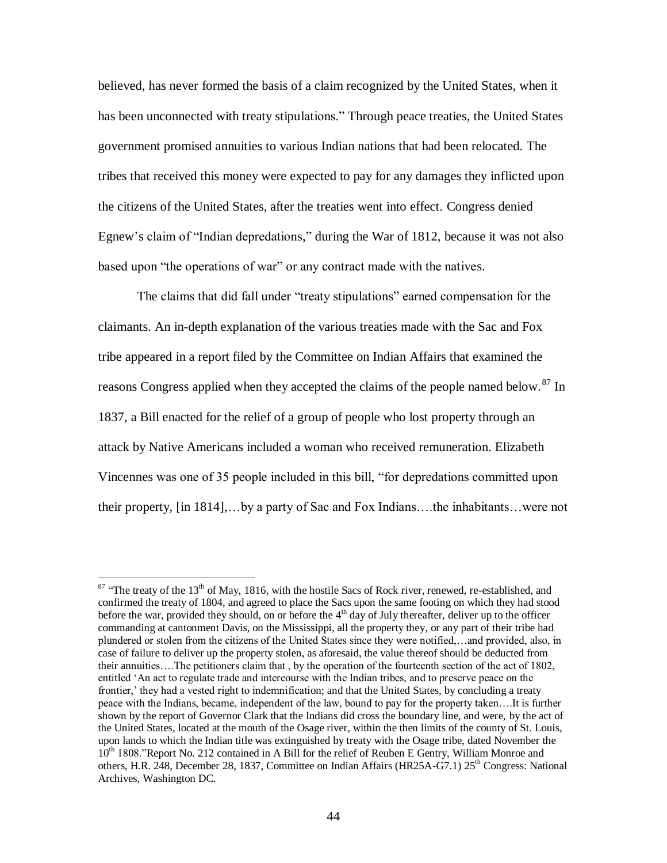believed, has never formed the basis of a claim recognized by the United States, when it has been unconnected with treaty stipulations." Through peace treaties, the United States government promised annuities to various Indian nations that had been relocated. The tribes that received this money were expected to pay for any damages they inflicted upon the citizens of the United States, after the treaties went into effect. Congress denied Egnew's claim of "Indian depredations," during the War of 1812, because it was not also based upon "the operations of war" or any contract made with the natives.

The claims that did fall under "treaty stipulations" earned compensation for the claimants. An in-depth explanation of the various treaties made with the Sac and Fox tribe appeared in a report filed by the Committee on Indian Affairs that examined the reasons Congress applied when they accepted the claims of the people named below.<sup>87</sup> In 1837, a Bill enacted for the relief of a group of people who lost property through an attack by Native Americans included a woman who received remuneration. Elizabeth Vincennes was one of 35 people included in this bill, "for depredations committed upon their property, [in 1814],…by a party of Sac and Fox Indians….the inhabitants…were not

 $87$  "The treaty of the 13<sup>th</sup> of May, 1816, with the hostile Sacs of Rock river, renewed, re-established, and confirmed the treaty of 1804, and agreed to place the Sacs upon the same footing on which they had stood before the war, provided they should, on or before the  $4<sup>th</sup>$  day of July thereafter, deliver up to the officer commanding at cantonment Davis, on the Mississippi, all the property they, or any part of their tribe had plundered or stolen from the citizens of the United States since they were notified,…and provided, also, in case of failure to deliver up the property stolen, as aforesaid, the value thereof should be deducted from their annuities….The petitioners claim that , by the operation of the fourteenth section of the act of 1802, entitled "An act to regulate trade and intercourse with the Indian tribes, and to preserve peace on the frontier,' they had a vested right to indemnification; and that the United States, by concluding a treaty peace with the Indians, became, independent of the law, bound to pay for the property taken….It is further shown by the report of Governor Clark that the Indians did cross the boundary line, and were, by the act of the United States, located at the mouth of the Osage river, within the then limits of the county of St. Louis, upon lands to which the Indian title was extinguished by treaty with the Osage tribe, dated November the 10<sup>th</sup> 1808."Report No. 212 contained in A Bill for the relief of Reuben E Gentry, William Monroe and others, H.R. 248, December 28, 1837, Committee on Indian Affairs (HR25A-G7.1) 25th Congress: National Archives, Washington DC.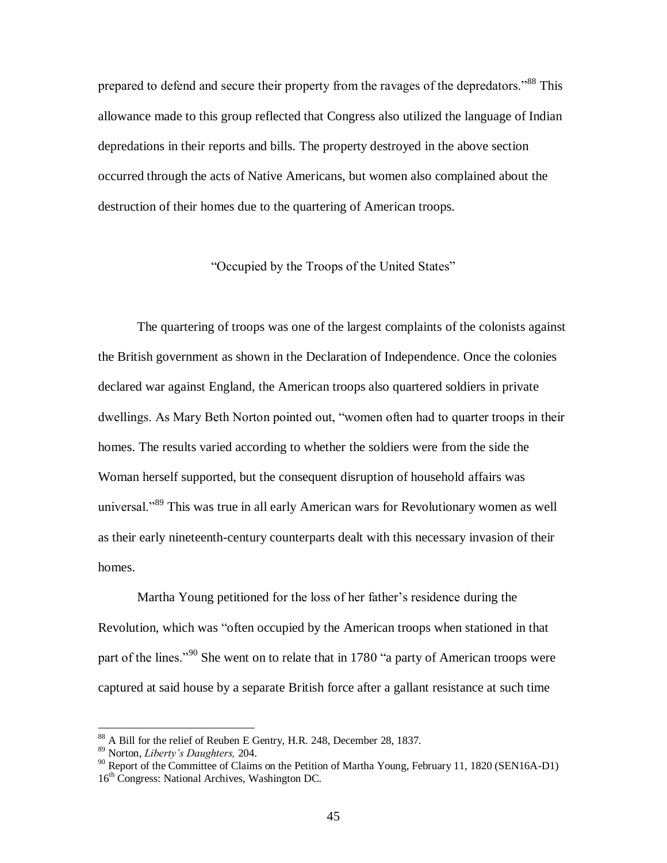prepared to defend and secure their property from the ravages of the depredators."<sup>88</sup> This allowance made to this group reflected that Congress also utilized the language of Indian depredations in their reports and bills. The property destroyed in the above section occurred through the acts of Native Americans, but women also complained about the destruction of their homes due to the quartering of American troops.

"Occupied by the Troops of the United States"

The quartering of troops was one of the largest complaints of the colonists against the British government as shown in the Declaration of Independence. Once the colonies declared war against England, the American troops also quartered soldiers in private dwellings. As Mary Beth Norton pointed out, "women often had to quarter troops in their homes. The results varied according to whether the soldiers were from the side the Woman herself supported, but the consequent disruption of household affairs was universal."<sup>89</sup> This was true in all early American wars for Revolutionary women as well as their early nineteenth-century counterparts dealt with this necessary invasion of their homes.

Martha Young petitioned for the loss of her father"s residence during the Revolution, which was "often occupied by the American troops when stationed in that part of the lines."<sup>90</sup> She went on to relate that in 1780 "a party of American troops were captured at said house by a separate British force after a gallant resistance at such time

<sup>88</sup> A Bill for the relief of Reuben E Gentry, H.R. 248, December 28, 1837.

<sup>89</sup> Norton, *Liberty's Daughters,* 204.

 $90$  Report of the Committee of Claims on the Petition of Martha Young, February 11, 1820 (SEN16A-D1) 16<sup>th</sup> Congress: National Archives, Washington DC.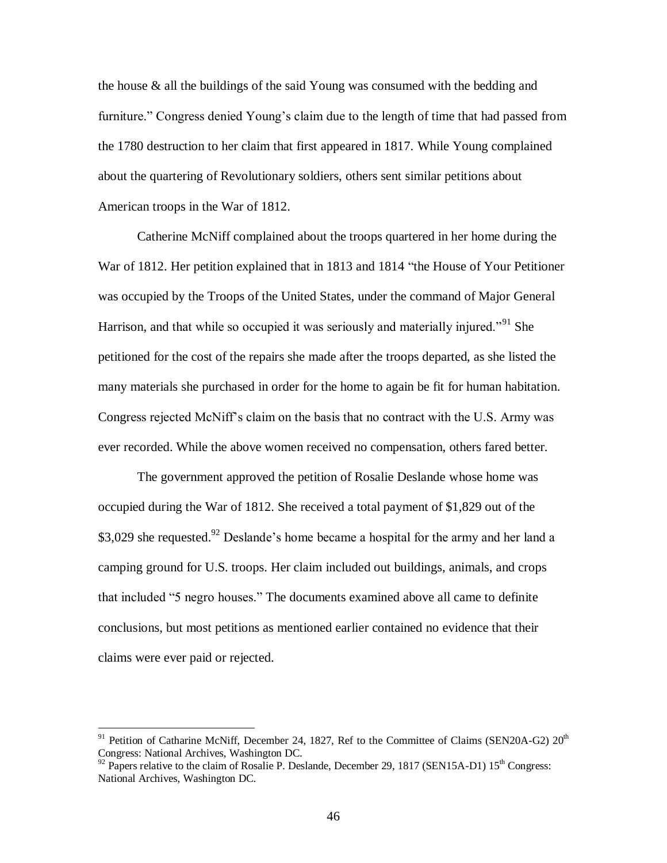the house & all the buildings of the said Young was consumed with the bedding and furniture." Congress denied Young's claim due to the length of time that had passed from the 1780 destruction to her claim that first appeared in 1817. While Young complained about the quartering of Revolutionary soldiers, others sent similar petitions about American troops in the War of 1812.

Catherine McNiff complained about the troops quartered in her home during the War of 1812. Her petition explained that in 1813 and 1814 "the House of Your Petitioner was occupied by the Troops of the United States, under the command of Major General Harrison, and that while so occupied it was seriously and materially injured."<sup>91</sup> She petitioned for the cost of the repairs she made after the troops departed, as she listed the many materials she purchased in order for the home to again be fit for human habitation. Congress rejected McNiff"s claim on the basis that no contract with the U.S. Army was ever recorded. While the above women received no compensation, others fared better.

The government approved the petition of Rosalie Deslande whose home was occupied during the War of 1812. She received a total payment of \$1,829 out of the \$3,029 she requested.<sup>92</sup> Deslande's home became a hospital for the army and her land a camping ground for U.S. troops. Her claim included out buildings, animals, and crops that included "5 negro houses." The documents examined above all came to definite conclusions, but most petitions as mentioned earlier contained no evidence that their claims were ever paid or rejected.

 $91$  Petition of Catharine McNiff, December 24, 1827, Ref to the Committee of Claims (SEN20A-G2)  $20<sup>th</sup>$ Congress: National Archives, Washington DC.

 $92$  Papers relative to the claim of Rosalie P. Deslande, December 29, 1817 (SEN15A-D1) 15<sup>th</sup> Congress: National Archives, Washington DC.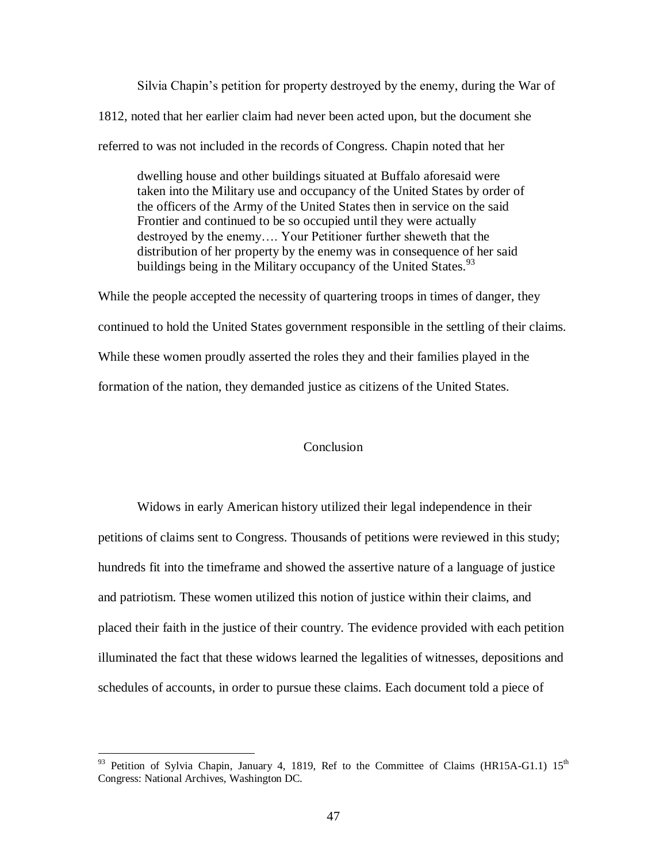Silvia Chapin"s petition for property destroyed by the enemy, during the War of 1812, noted that her earlier claim had never been acted upon, but the document she referred to was not included in the records of Congress. Chapin noted that her

dwelling house and other buildings situated at Buffalo aforesaid were taken into the Military use and occupancy of the United States by order of the officers of the Army of the United States then in service on the said Frontier and continued to be so occupied until they were actually destroyed by the enemy…. Your Petitioner further sheweth that the distribution of her property by the enemy was in consequence of her said buildings being in the Military occupancy of the United States.  $93$ 

While the people accepted the necessity of quartering troops in times of danger, they continued to hold the United States government responsible in the settling of their claims. While these women proudly asserted the roles they and their families played in the formation of the nation, they demanded justice as citizens of the United States.

#### Conclusion

Widows in early American history utilized their legal independence in their petitions of claims sent to Congress. Thousands of petitions were reviewed in this study; hundreds fit into the timeframe and showed the assertive nature of a language of justice and patriotism. These women utilized this notion of justice within their claims, and placed their faith in the justice of their country. The evidence provided with each petition illuminated the fact that these widows learned the legalities of witnesses, depositions and schedules of accounts, in order to pursue these claims. Each document told a piece of

<sup>&</sup>lt;sup>93</sup> Petition of Sylvia Chapin, January 4, 1819, Ref to the Committee of Claims (HR15A-G1.1) 15<sup>th</sup> Congress: National Archives, Washington DC.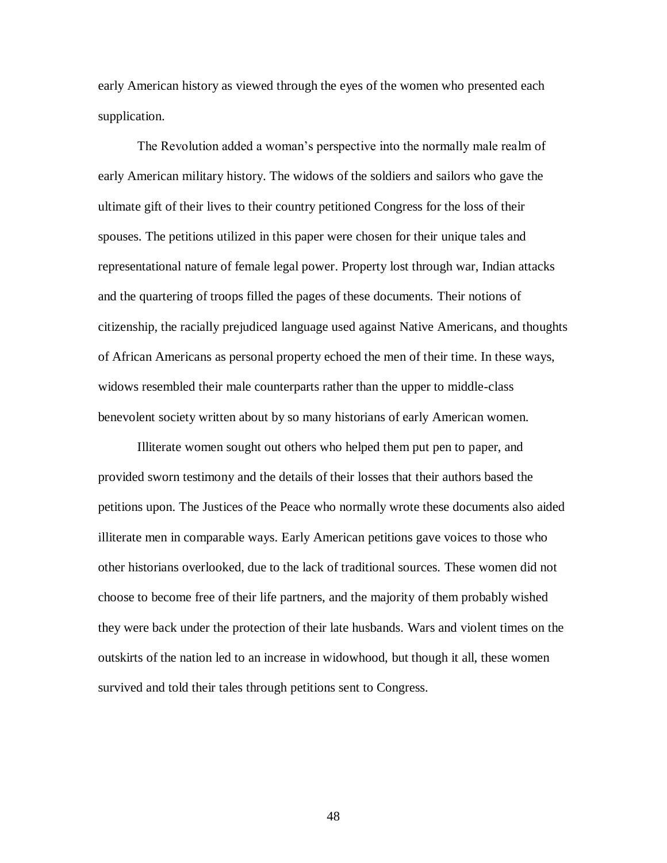early American history as viewed through the eyes of the women who presented each supplication.

The Revolution added a woman"s perspective into the normally male realm of early American military history. The widows of the soldiers and sailors who gave the ultimate gift of their lives to their country petitioned Congress for the loss of their spouses. The petitions utilized in this paper were chosen for their unique tales and representational nature of female legal power. Property lost through war, Indian attacks and the quartering of troops filled the pages of these documents. Their notions of citizenship, the racially prejudiced language used against Native Americans, and thoughts of African Americans as personal property echoed the men of their time. In these ways, widows resembled their male counterparts rather than the upper to middle-class benevolent society written about by so many historians of early American women.

Illiterate women sought out others who helped them put pen to paper, and provided sworn testimony and the details of their losses that their authors based the petitions upon. The Justices of the Peace who normally wrote these documents also aided illiterate men in comparable ways. Early American petitions gave voices to those who other historians overlooked, due to the lack of traditional sources. These women did not choose to become free of their life partners, and the majority of them probably wished they were back under the protection of their late husbands. Wars and violent times on the outskirts of the nation led to an increase in widowhood, but though it all, these women survived and told their tales through petitions sent to Congress.

48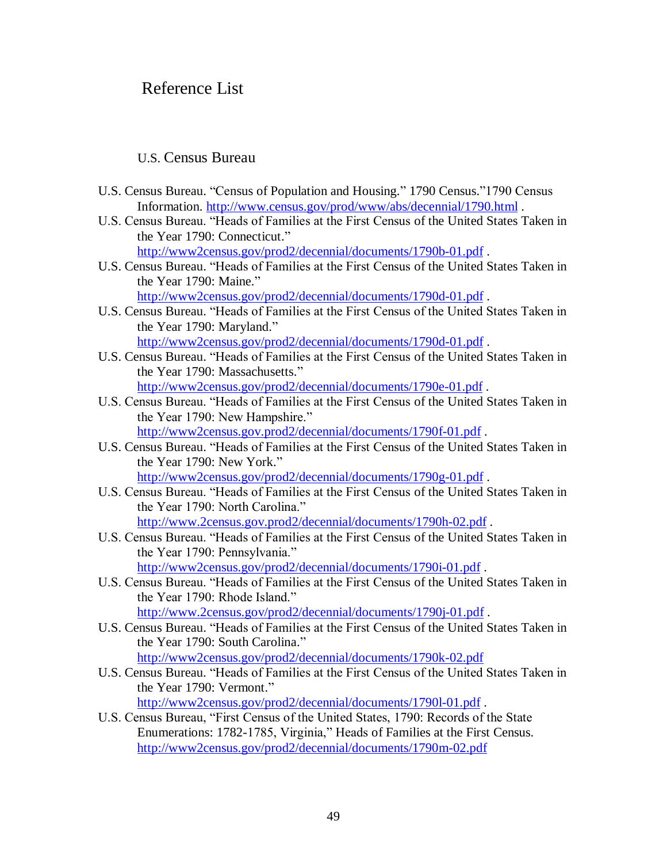# Reference List

# U.S. Census Bureau

- U.S. Census Bureau. "Census of Population and Housing." 1790 Census."1790 Census Information. <http://www.census.gov/prod/www/abs/decennial/1790.html> .
- U.S. Census Bureau. "Heads of Families at the First Census of the United States Taken in the Year 1790: Connecticut."

[http://www2census.gov/prod2/decennial/documents/1790b-01.pdf](http://www2census.gov/prod2/decennial/documents/1790m-02.pdf) .

U.S. Census Bureau. "Heads of Families at the First Census of the United States Taken in the Year 1790: Maine."

<http://www2census.gov/prod2/decennial/documents/1790d-01.pdf> .

- U.S. Census Bureau. "Heads of Families at the First Census of the United States Taken in the Year 1790: Maryland." [http://www2census.gov/prod2/decennial/documents/1790d-01.pdf](http://www2census.gov/prod2/decennial/documents/1790m-02.pdf) .
- U.S. Census Bureau. "Heads of Families at the First Census of the United States Taken in the Year 1790: Massachusetts."

<http://www2census.gov/prod2/decennial/documents/1790e-01.pdf> .

U.S. Census Bureau. "Heads of Families at the First Census of the United States Taken in the Year 1790: New Hampshire."

<http://www2census.gov.prod2/decennial/documents/1790f-01.pdf> .

U.S. Census Bureau. "Heads of Families at the First Census of the United States Taken in the Year 1790: New York."

[http://www2census.gov/prod2/decennial/documents/1790g-01.pdf](http://www2census.gov/prod2/decennial/documents/1790m-02.pdf) .

- U.S. Census Bureau. "Heads of Families at the First Census of the United States Taken in the Year 1790: North Carolina." <http://www.2census.gov.prod2/decennial/documents/1790h-02.pdf> .
- U.S. Census Bureau. "Heads of Families at the First Census of the United States Taken in the Year 1790: Pennsylvania."

[http://www2census.gov/prod2/decennial/documents/1790i-01.pdf](http://www2census.gov/prod2/decennial/documents/1790m-02.pdf) .

- U.S. Census Bureau. "Heads of Families at the First Census of the United States Taken in the Year 1790: Rhode Island." <http://www.2census.gov/prod2/decennial/documents/1790j-01.pdf>.
- U.S. Census Bureau. "Heads of Families at the First Census of the United States Taken in the Year 1790: South Carolina."

<http://www2census.gov/prod2/decennial/documents/1790k-02.pdf>

U.S. Census Bureau. "Heads of Families at the First Census of the United States Taken in the Year 1790: Vermont."

[http://www2census.gov/prod2/decennial/documents/1790l-01.pdf](http://www2census.gov/prod2/decennial/documents/1790m-02.pdf) .

U.S. Census Bureau, "First Census of the United States, 1790: Records of the State Enumerations: 1782-1785, Virginia," Heads of Families at the First Census. <http://www2census.gov/prod2/decennial/documents/1790m-02.pdf>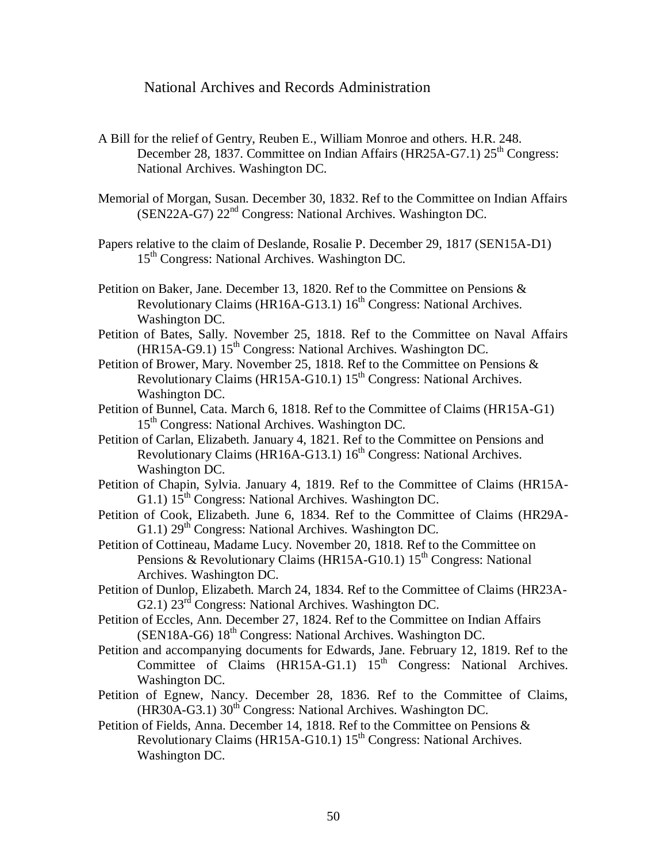### National Archives and Records Administration

- A Bill for the relief of Gentry, Reuben E., William Monroe and others. H.R. 248. December 28, 1837. Committee on Indian Affairs (HR25A-G7.1) 25<sup>th</sup> Congress: National Archives. Washington DC.
- Memorial of Morgan, Susan. December 30, 1832. Ref to the Committee on Indian Affairs (SEN22A-G7) 22nd Congress: National Archives. Washington DC.
- Papers relative to the claim of Deslande, Rosalie P. December 29, 1817 (SEN15A-D1) 15<sup>th</sup> Congress: National Archives. Washington DC.
- Petition on Baker, Jane. December 13, 1820. Ref to the Committee on Pensions & Revolutionary Claims (HR16A-G13.1)  $16<sup>th</sup>$  Congress: National Archives. Washington DC.
- Petition of Bates, Sally. November 25, 1818. Ref to the Committee on Naval Affairs  $(HR15A-G9.1)$   $15<sup>th</sup>$  Congress: National Archives. Washington DC.
- Petition of Brower, Mary. November 25, 1818. Ref to the Committee on Pensions & Revolutionary Claims (HR15A-G10.1) 15<sup>th</sup> Congress: National Archives. Washington DC.
- Petition of Bunnel, Cata. March 6, 1818. Ref to the Committee of Claims (HR15A-G1) 15<sup>th</sup> Congress: National Archives. Washington DC.
- Petition of Carlan, Elizabeth. January 4, 1821. Ref to the Committee on Pensions and Revolutionary Claims (HR16A-G13.1)  $16<sup>th</sup>$  Congress: National Archives. Washington DC.
- Petition of Chapin, Sylvia. January 4, 1819. Ref to the Committee of Claims (HR15A-G1.1)  $15^{th}$  Congress: National Archives. Washington DC.
- Petition of Cook, Elizabeth. June 6, 1834. Ref to the Committee of Claims (HR29A-G1.1)  $29<sup>th</sup>$  Congress: National Archives. Washington DC.
- Petition of Cottineau, Madame Lucy. November 20, 1818. Ref to the Committee on Pensions & Revolutionary Claims (HR15A-G10.1)  $15^{th}$  Congress: National Archives. Washington DC.
- Petition of Dunlop, Elizabeth. March 24, 1834. Ref to the Committee of Claims (HR23A-G2.1) 23<sup>rd</sup> Congress: National Archives. Washington DC.
- Petition of Eccles, Ann. December 27, 1824. Ref to the Committee on Indian Affairs (SEN18A-G6) 18<sup>th</sup> Congress: National Archives. Washington DC.
- Petition and accompanying documents for Edwards, Jane. February 12, 1819. Ref to the Committee of Claims  $(HR15A-G1.1)$   $15<sup>th</sup>$  Congress: National Archives. Washington DC.
- Petition of Egnew, Nancy. December 28, 1836. Ref to the Committee of Claims,  $(HR30A-G3.1)$  30<sup>th</sup> Congress: National Archives. Washington DC.
- Petition of Fields, Anna. December 14, 1818. Ref to the Committee on Pensions & Revolutionary Claims (HR15A-G10.1) 15<sup>th</sup> Congress: National Archives. Washington DC.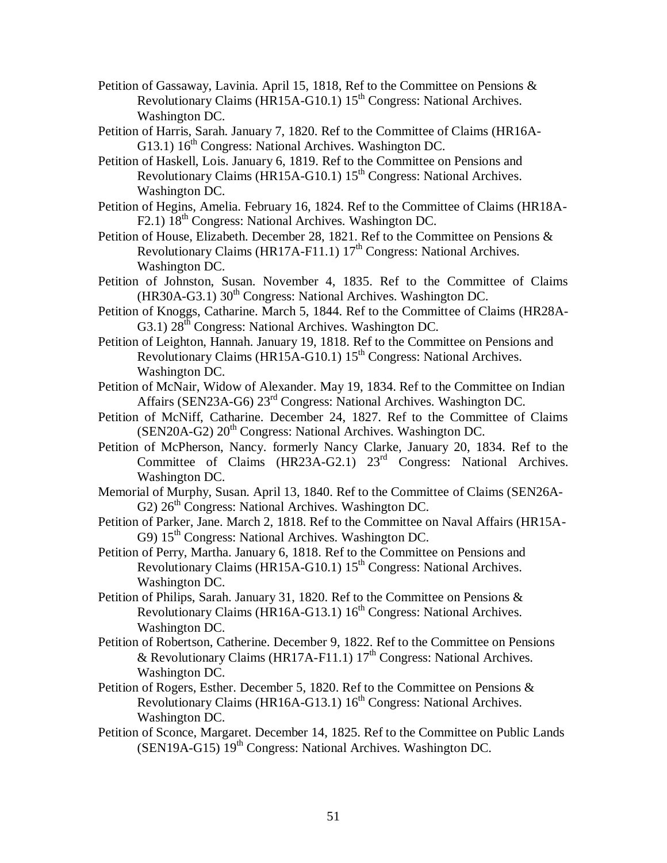- Petition of Gassaway, Lavinia. April 15, 1818, Ref to the Committee on Pensions & Revolutionary Claims (HR15A-G10.1) 15<sup>th</sup> Congress: National Archives. Washington DC.
- Petition of Harris, Sarah. January 7, 1820. Ref to the Committee of Claims (HR16A-G13.1)  $16<sup>th</sup>$  Congress: National Archives. Washington DC.
- Petition of Haskell, Lois. January 6, 1819. Ref to the Committee on Pensions and Revolutionary Claims ( $\overline{HR15A-G10.1}$ )  $15^{th}$  Congress: National Archives. Washington DC.
- Petition of Hegins, Amelia. February 16, 1824. Ref to the Committee of Claims (HR18A-F2.1) 18<sup>th</sup> Congress: National Archives. Washington DC.
- Petition of House, Elizabeth. December 28, 1821. Ref to the Committee on Pensions & Revolutionary Claims (HR17A-F11.1)  $17<sup>th</sup>$  Congress: National Archives. Washington DC.
- Petition of Johnston, Susan. November 4, 1835. Ref to the Committee of Claims  $(HR30A-G3.1)$  30<sup>th</sup> Congress: National Archives. Washington DC.
- Petition of Knoggs, Catharine. March 5, 1844. Ref to the Committee of Claims (HR28A-G3.1)  $28<sup>th</sup>$  Congress: National Archives. Washington DC.
- Petition of Leighton, Hannah. January 19, 1818. Ref to the Committee on Pensions and Revolutionary Claims (HR15A-G10.1) 15<sup>th</sup> Congress: National Archives. Washington DC.
- Petition of McNair, Widow of Alexander. May 19, 1834. Ref to the Committee on Indian Affairs (SEN23A-G6) 23rd Congress: National Archives. Washington DC.
- Petition of McNiff, Catharine. December 24, 1827. Ref to the Committee of Claims (SEN20A-G2)  $20<sup>th</sup>$  Congress: National Archives. Washington DC.
- Petition of McPherson, Nancy. formerly Nancy Clarke, January 20, 1834. Ref to the Committee of Claims (HR23A-G2.1) 23<sup>rd</sup> Congress: National Archives. Washington DC.
- Memorial of Murphy, Susan. April 13, 1840. Ref to the Committee of Claims (SEN26A-G2)  $26<sup>th</sup>$  Congress: National Archives. Washington DC.
- Petition of Parker, Jane. March 2, 1818. Ref to the Committee on Naval Affairs (HR15A-G9)  $15<sup>th</sup>$  Congress: National Archives. Washington DC.
- Petition of Perry, Martha. January 6, 1818. Ref to the Committee on Pensions and Revolutionary Claims (HR15A-G10.1) 15<sup>th</sup> Congress: National Archives. Washington DC.
- Petition of Philips, Sarah. January 31, 1820. Ref to the Committee on Pensions & Revolutionary Claims (HR16A-G13.1)  $16<sup>th</sup>$  Congress: National Archives. Washington DC.
- Petition of Robertson, Catherine. December 9, 1822. Ref to the Committee on Pensions & Revolutionary Claims (HR17A-F11.1)  $17<sup>th</sup>$  Congress: National Archives. Washington DC.
- Petition of Rogers, Esther. December 5, 1820. Ref to the Committee on Pensions & Revolutionary Claims (HR16A-G13.1) 16<sup>th</sup> Congress: National Archives. Washington DC.
- Petition of Sconce, Margaret. December 14, 1825. Ref to the Committee on Public Lands (SEN19A-G15) 19<sup>th</sup> Congress: National Archives. Washington DC.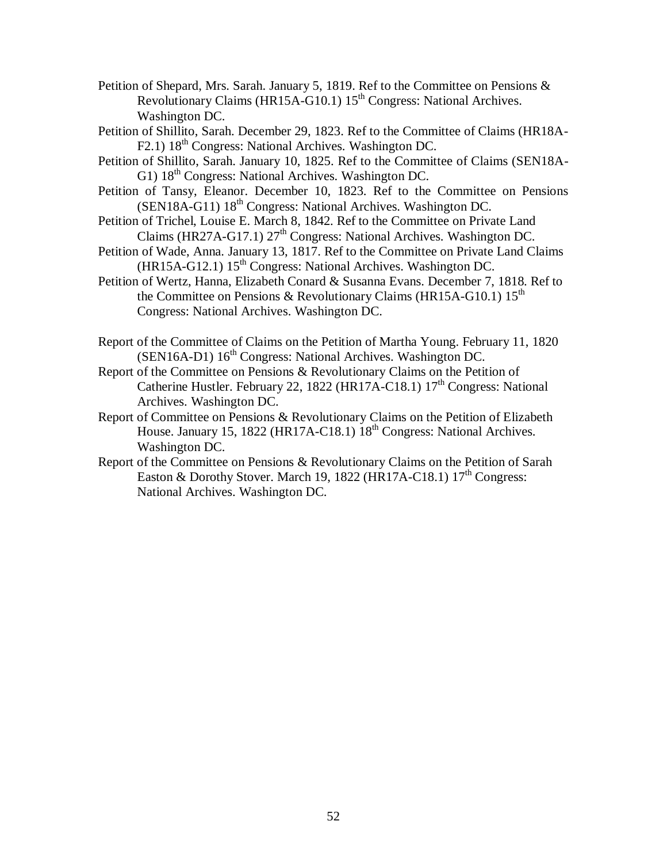- Petition of Shepard, Mrs. Sarah. January 5, 1819. Ref to the Committee on Pensions & Revolutionary Claims (HR15A-G10.1) 15<sup>th</sup> Congress: National Archives. Washington DC.
- Petition of Shillito, Sarah. December 29, 1823. Ref to the Committee of Claims (HR18A-F2.1) 18<sup>th</sup> Congress: National Archives. Washington DC.
- Petition of Shillito, Sarah. January 10, 1825. Ref to the Committee of Claims (SEN18A-G1)  $18<sup>th</sup>$  Congress: National Archives. Washington DC.
- Petition of Tansy, Eleanor. December 10, 1823. Ref to the Committee on Pensions (SEN18A-G11) 18<sup>th</sup> Congress: National Archives. Washington DC.
- Petition of Trichel, Louise E. March 8, 1842. Ref to the Committee on Private Land Claims (HR27A-G17.1)  $27<sup>th</sup>$  Congress: National Archives. Washington DC.
- Petition of Wade, Anna. January 13, 1817. Ref to the Committee on Private Land Claims  $(HR15A-G12.1) 15<sup>th</sup> Congress: National Archives. Washington DC.$
- Petition of Wertz, Hanna, Elizabeth Conard & Susanna Evans. December 7, 1818. Ref to the Committee on Pensions & Revolutionary Claims (HR15A-G10.1)  $15<sup>th</sup>$ Congress: National Archives. Washington DC.
- Report of the Committee of Claims on the Petition of Martha Young. February 11, 1820 (SEN16A-D1) 16<sup>th</sup> Congress: National Archives. Washington DC.
- Report of the Committee on Pensions & Revolutionary Claims on the Petition of Catherine Hustler. February 22, 1822 (HR17A-C18.1)  $17<sup>th</sup>$  Congress: National Archives. Washington DC.
- Report of Committee on Pensions & Revolutionary Claims on the Petition of Elizabeth House. January 15, 1822 (HR17A-C18.1) 18<sup>th</sup> Congress: National Archives. Washington DC.
- Report of the Committee on Pensions & Revolutionary Claims on the Petition of Sarah Easton & Dorothy Stover. March 19, 1822 (HR17A-C18.1)  $17<sup>th</sup>$  Congress: National Archives. Washington DC.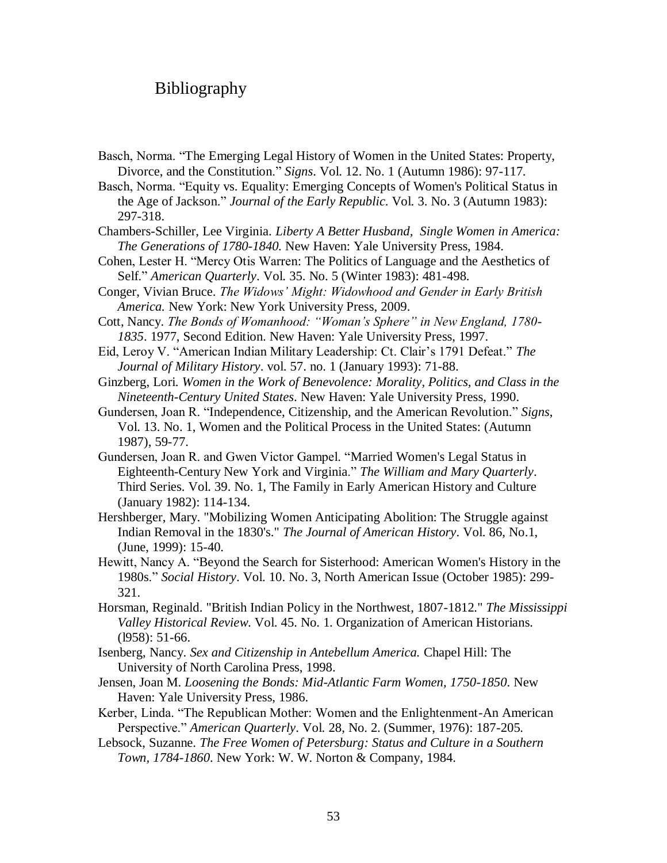# Bibliography

Basch, Norma. "The Emerging Legal History of Women in the United States: Property, Divorce, and the Constitution." *Signs*. Vol. 12. No. 1 (Autumn 1986): 97-117.

Basch, Norma. "Equity vs. Equality: Emerging Concepts of Women's Political Status in the Age of Jackson." *Journal of the Early Republic*. Vol. 3. No. 3 (Autumn 1983): 297-318.

Chambers-Schiller, Lee Virginia. *Liberty A Better Husband, Single Women in America: The Generations of 1780-1840.* New Haven: Yale University Press, 1984.

Cohen, Lester H. "Mercy Otis Warren: The Politics of Language and the Aesthetics of Self." *American Quarterly*. Vol. 35. No. 5 (Winter 1983): 481-498.

Conger, Vivian Bruce. *The Widows' Might: Widowhood and Gender in Early British America.* New York: New York University Press, 2009.

Cott, Nancy. *The Bonds of Womanhood: "Woman's Sphere" in New England, 1780- 1835*. 1977, Second Edition. New Haven: Yale University Press, 1997.

Eid, Leroy V. "American Indian Military Leadership: Ct. Clair"s 1791 Defeat." *The Journal of Military History*. vol. 57. no. 1 (January 1993): 71-88.

Ginzberg, Lori. *Women in the Work of Benevolence: Morality, Politics, and Class in the Nineteenth-Century United States*. New Haven: Yale University Press, 1990.

Gundersen, Joan R. "Independence, Citizenship, and the American Revolution." *Signs*, Vol. 13. No. 1, Women and the Political Process in the United States: (Autumn 1987), 59-77.

Gundersen, Joan R. and Gwen Victor Gampel. "Married Women's Legal Status in Eighteenth-Century New York and Virginia." *The William and Mary Quarterly*. Third Series. Vol. 39. No. 1, The Family in Early American History and Culture (January 1982): 114-134.

Hershberger, Mary. "Mobilizing Women Anticipating Abolition: The Struggle against Indian Removal in the 1830's." *The Journal of American History*. Vol. 86, No.1, (June, 1999): 15-40.

Hewitt, Nancy A. "Beyond the Search for Sisterhood: American Women's History in the 1980s." *Social History*. Vol. 10. No. 3, North American Issue (October 1985): 299- 321.

Horsman, Reginald. "British Indian Policy in the Northwest, 1807-1812." *The Mississippi Valley Historical Review*. Vol. 45. No. 1. Organization of American Historians. (l958): 51-66.

Isenberg, Nancy. *Sex and Citizenship in Antebellum America.* Chapel Hill: The University of North Carolina Press, 1998.

Jensen, Joan M. *Loosening the Bonds: Mid-Atlantic Farm Women, 1750-1850*. New Haven: Yale University Press, 1986.

Kerber, Linda. "The Republican Mother: Women and the Enlightenment-An American Perspective." *American Quarterly*. Vol. 28, No. 2. (Summer, 1976): 187-205.

Lebsock, Suzanne. *The Free Women of Petersburg: Status and Culture in a Southern Town, 1784-1860*. New York: W. W. Norton & Company, 1984.